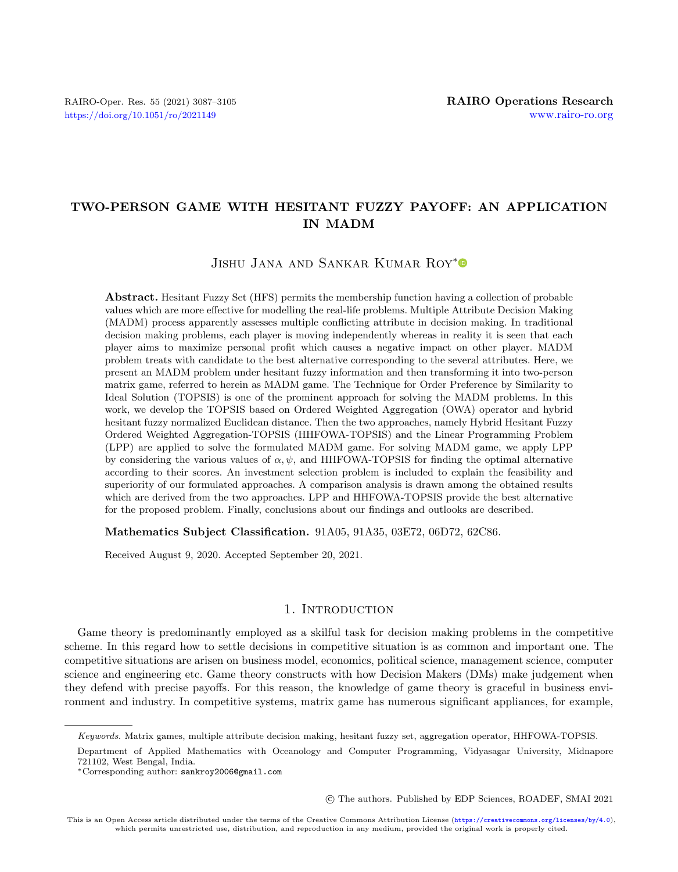# TWO-PERSON GAME WITH HESITANT FUZZY PAYOFF: AN APPLICATION IN MADM

Jishu Jana and Sankar Kumar Roy[\\*](https://orcid.org/0000-0003-4478-1534)

Abstract. Hesitant Fuzzy Set (HFS) permits the membership function having a collection of probable values which are more effective for modelling the real-life problems. Multiple Attribute Decision Making (MADM) process apparently assesses multiple conflicting attribute in decision making. In traditional decision making problems, each player is moving independently whereas in reality it is seen that each player aims to maximize personal profit which causes a negative impact on other player. MADM problem treats with candidate to the best alternative corresponding to the several attributes. Here, we present an MADM problem under hesitant fuzzy information and then transforming it into two-person matrix game, referred to herein as MADM game. The Technique for Order Preference by Similarity to Ideal Solution (TOPSIS) is one of the prominent approach for solving the MADM problems. In this work, we develop the TOPSIS based on Ordered Weighted Aggregation (OWA) operator and hybrid hesitant fuzzy normalized Euclidean distance. Then the two approaches, namely Hybrid Hesitant Fuzzy Ordered Weighted Aggregation-TOPSIS (HHFOWA-TOPSIS) and the Linear Programming Problem (LPP) are applied to solve the formulated MADM game. For solving MADM game, we apply LPP by considering the various values of  $\alpha, \psi$ , and HHFOWA-TOPSIS for finding the optimal alternative according to their scores. An investment selection problem is included to explain the feasibility and superiority of our formulated approaches. A comparison analysis is drawn among the obtained results which are derived from the two approaches. LPP and HHFOWA-TOPSIS provide the best alternative for the proposed problem. Finally, conclusions about our findings and outlooks are described.

Mathematics Subject Classification. 91A05, 91A35, 03E72, 06D72, 62C86.

Received August 9, 2020. Accepted September 20, 2021.

# 1. INTRODUCTION

Game theory is predominantly employed as a skilful task for decision making problems in the competitive scheme. In this regard how to settle decisions in competitive situation is as common and important one. The competitive situations are arisen on business model, economics, political science, management science, computer science and engineering etc. Game theory constructs with how Decision Makers (DMs) make judgement when they defend with precise payoffs. For this reason, the knowledge of game theory is graceful in business environment and industry. In competitive systems, matrix game has numerous significant appliances, for example,

○c The authors. Published by EDP Sciences, ROADEF, SMAI 2021

Keywords. Matrix games, multiple attribute decision making, hesitant fuzzy set, aggregation operator, HHFOWA-TOPSIS.

Department of Applied Mathematics with Oceanology and Computer Programming, Vidyasagar University, Midnapore 721102, West Bengal, India.

<sup>\*</sup>Corresponding author: [sankroy2006@gmail.com](mailto:sankroy2006@gmail.com)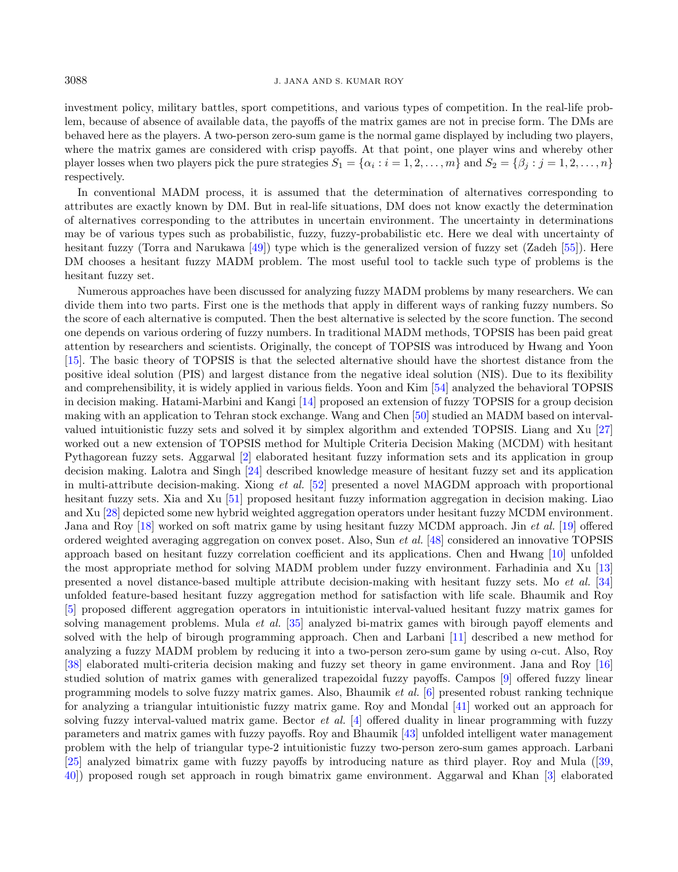#### 3088 J. JANA AND S. KUMAR ROY

investment policy, military battles, sport competitions, and various types of competition. In the real-life problem, because of absence of available data, the payoffs of the matrix games are not in precise form. The DMs are behaved here as the players. A two-person zero-sum game is the normal game displayed by including two players, where the matrix games are considered with crisp payoffs. At that point, one player wins and whereby other player losses when two players pick the pure strategies  $S_1 = \{\alpha_i : i = 1, 2, \ldots, m\}$  and  $S_2 = \{\beta_j : j = 1, 2, \ldots, n\}$ respectively.

In conventional MADM process, it is assumed that the determination of alternatives corresponding to attributes are exactly known by DM. But in real-life situations, DM does not know exactly the determination of alternatives corresponding to the attributes in uncertain environment. The uncertainty in determinations may be of various types such as probabilistic, fuzzy, fuzzy-probabilistic etc. Here we deal with uncertainty of hesitant fuzzy (Torra and Narukawa [\[49\]](#page-17-0)) type which is the generalized version of fuzzy set (Zadeh [\[55\]](#page-18-0)). Here DM chooses a hesitant fuzzy MADM problem. The most useful tool to tackle such type of problems is the hesitant fuzzy set.

Numerous approaches have been discussed for analyzing fuzzy MADM problems by many researchers. We can divide them into two parts. First one is the methods that apply in different ways of ranking fuzzy numbers. So the score of each alternative is computed. Then the best alternative is selected by the score function. The second one depends on various ordering of fuzzy numbers. In traditional MADM methods, TOPSIS has been paid great attention by researchers and scientists. Originally, the concept of TOPSIS was introduced by Hwang and Yoon [\[15\]](#page-16-0). The basic theory of TOPSIS is that the selected alternative should have the shortest distance from the positive ideal solution (PIS) and largest distance from the negative ideal solution (NIS). Due to its flexibility and comprehensibility, it is widely applied in various fields. Yoon and Kim [\[54\]](#page-18-1) analyzed the behavioral TOPSIS in decision making. Hatami-Marbini and Kangi [\[14\]](#page-16-1) proposed an extension of fuzzy TOPSIS for a group decision making with an application to Tehran stock exchange. Wang and Chen [\[50\]](#page-17-1) studied an MADM based on intervalvalued intuitionistic fuzzy sets and solved it by simplex algorithm and extended TOPSIS. Liang and Xu [\[27\]](#page-17-2) worked out a new extension of TOPSIS method for Multiple Criteria Decision Making (MCDM) with hesitant Pythagorean fuzzy sets. Aggarwal [\[2\]](#page-16-2) elaborated hesitant fuzzy information sets and its application in group decision making. Lalotra and Singh [\[24\]](#page-17-3) described knowledge measure of hesitant fuzzy set and its application in multi-attribute decision-making. Xiong *et al.* [\[52\]](#page-17-4) presented a novel MAGDM approach with proportional hesitant fuzzy sets. Xia and Xu [\[51\]](#page-17-5) proposed hesitant fuzzy information aggregation in decision making. Liao and Xu [\[28\]](#page-17-6) depicted some new hybrid weighted aggregation operators under hesitant fuzzy MCDM environment. Jana and Roy [\[18\]](#page-16-3) worked on soft matrix game by using hesitant fuzzy MCDM approach. Jin et al. [\[19\]](#page-17-7) offered ordered weighted averaging aggregation on convex poset. Also, Sun et al. [\[48\]](#page-17-8) considered an innovative TOPSIS approach based on hesitant fuzzy correlation coefficient and its applications. Chen and Hwang [\[10\]](#page-16-4) unfolded the most appropriate method for solving MADM problem under fuzzy environment. Farhadinia and Xu [\[13\]](#page-16-5) presented a novel distance-based multiple attribute decision-making with hesitant fuzzy sets. Mo et al. [\[34\]](#page-17-9) unfolded feature-based hesitant fuzzy aggregation method for satisfaction with life scale. Bhaumik and Roy [\[5\]](#page-16-6) proposed different aggregation operators in intuitionistic interval-valued hesitant fuzzy matrix games for solving management problems. Mula et al. [\[35\]](#page-17-10) analyzed bi-matrix games with birough payoff elements and solved with the help of birough programming approach. Chen and Larbani [\[11\]](#page-16-7) described a new method for analyzing a fuzzy MADM problem by reducing it into a two-person zero-sum game by using  $\alpha$ -cut. Also, Roy [\[38\]](#page-17-11) elaborated multi-criteria decision making and fuzzy set theory in game environment. Jana and Roy [\[16\]](#page-16-8) studied solution of matrix games with generalized trapezoidal fuzzy payoffs. Campos [\[9\]](#page-16-9) offered fuzzy linear programming models to solve fuzzy matrix games. Also, Bhaumik et al. [\[6\]](#page-16-10) presented robust ranking technique for analyzing a triangular intuitionistic fuzzy matrix game. Roy and Mondal [\[41\]](#page-17-12) worked out an approach for solving fuzzy interval-valued matrix game. Bector et al. [\[4\]](#page-16-11) offered duality in linear programming with fuzzy parameters and matrix games with fuzzy payoffs. Roy and Bhaumik [\[43\]](#page-17-13) unfolded intelligent water management problem with the help of triangular type-2 intuitionistic fuzzy two-person zero-sum games approach. Larbani [\[25\]](#page-17-14) analyzed bimatrix game with fuzzy payoffs by introducing nature as third player. Roy and Mula ([\[39,](#page-17-15) [40\]](#page-17-16)) proposed rough set approach in rough bimatrix game environment. Aggarwal and Khan [\[3\]](#page-16-12) elaborated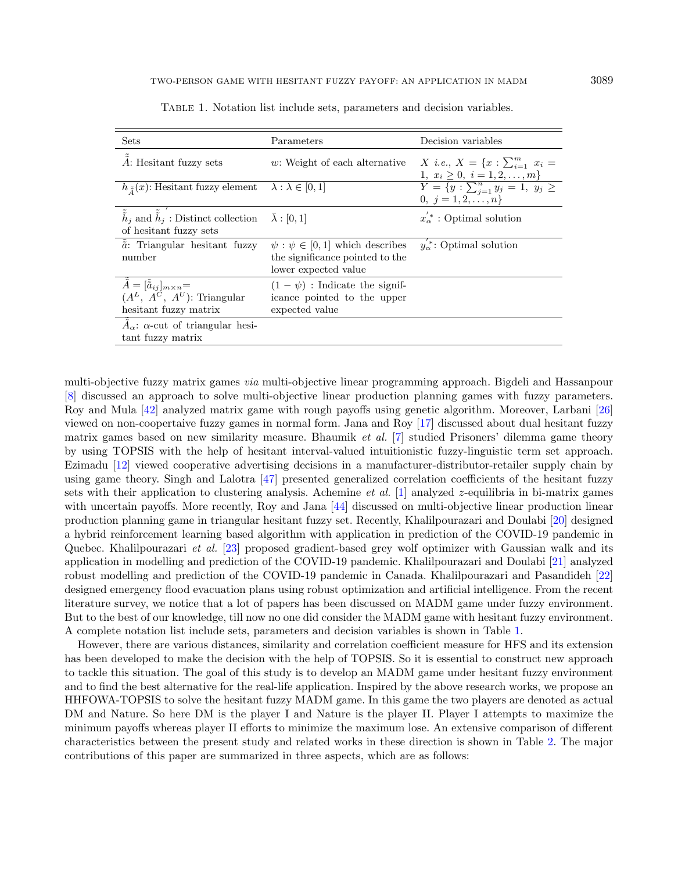| Sets                                                                                                                     | Parameters                                                                                         | Decision variables                                                                 |
|--------------------------------------------------------------------------------------------------------------------------|----------------------------------------------------------------------------------------------------|------------------------------------------------------------------------------------|
| A: Hesitant fuzzy sets                                                                                                   | $w$ : Weight of each alternative                                                                   | X <i>i.e.</i> , $X = \{x : \sum_{i=1}^{m} x_i =$<br>1, $x_i \geq 0, i = 1, 2, , m$ |
| $h_{\tilde{A}}(x)$ : Hesitant fuzzy element $\lambda : \lambda \in [0,1]$                                                |                                                                                                    | $Y = \{y : \sum_{j=1}^{n} y_j = 1, y_j \geq 1\}$<br>0, $j = 1, 2, , n$             |
| $\tilde{\tilde{h}}_i$ and $\tilde{\tilde{h}}_i$ : Distinct collection $\bar{\lambda}$ : [0, 1]<br>of hesitant fuzzy sets |                                                                                                    | $x'_{\alpha}$ : Optimal solution                                                   |
| $\tilde{a}$ : Triangular hesitant fuzzy<br>number                                                                        | $\psi : \psi \in [0,1]$ which describes<br>the significance pointed to the<br>lower expected value | $y_{\alpha}^*$ : Optimal solution                                                  |
| $\tilde{\tilde{A}} = [\tilde{\tilde{a}}_{ij}]_{m \times n} =$<br>$(A^L, A^C, A^U)$ : Triangular<br>hesitant fuzzy matrix | $(1 - \psi)$ : Indicate the signif-<br>icance pointed to the upper<br>expected value               |                                                                                    |
| $A_{\alpha}$ : $\alpha$ -cut of triangular hesi-<br>tant fuzzy matrix                                                    |                                                                                                    |                                                                                    |

<span id="page-2-0"></span>Table 1. Notation list include sets, parameters and decision variables.

multi-objective fuzzy matrix games via multi-objective linear programming approach. Bigdeli and Hassanpour [\[8\]](#page-16-13) discussed an approach to solve multi-objective linear production planning games with fuzzy parameters. Roy and Mula [\[42\]](#page-17-17) analyzed matrix game with rough payoffs using genetic algorithm. Moreover, Larbani [\[26\]](#page-17-18) viewed on non-coopertaive fuzzy games in normal form. Jana and Roy [\[17\]](#page-16-14) discussed about dual hesitant fuzzy matrix games based on new similarity measure. Bhaumik et al. [\[7\]](#page-16-15) studied Prisoners' dilemma game theory by using TOPSIS with the help of hesitant interval-valued intuitionistic fuzzy-linguistic term set approach. Ezimadu [\[12\]](#page-16-16) viewed cooperative advertising decisions in a manufacturer-distributor-retailer supply chain by using game theory. Singh and Lalotra [\[47\]](#page-17-19) presented generalized correlation coefficients of the hesitant fuzzy sets with their application to clustering analysis. Achemine *et al.* [\[1\]](#page-16-17) analyzed  $z$ -equilibria in bi-matrix games with uncertain payoffs. More recently, Roy and Jana [\[44\]](#page-17-20) discussed on multi-objective linear production linear production planning game in triangular hesitant fuzzy set. Recently, Khalilpourazari and Doulabi [\[20\]](#page-17-21) designed a hybrid reinforcement learning based algorithm with application in prediction of the COVID-19 pandemic in Quebec. Khalilpourazari et al. [\[23\]](#page-17-22) proposed gradient-based grey wolf optimizer with Gaussian walk and its application in modelling and prediction of the COVID-19 pandemic. Khalilpourazari and Doulabi [\[21\]](#page-17-23) analyzed robust modelling and prediction of the COVID-19 pandemic in Canada. Khalilpourazari and Pasandideh [\[22\]](#page-17-24) designed emergency flood evacuation plans using robust optimization and artificial intelligence. From the recent literature survey, we notice that a lot of papers has been discussed on MADM game under fuzzy environment. But to the best of our knowledge, till now no one did consider the MADM game with hesitant fuzzy environment. A complete notation list include sets, parameters and decision variables is shown in Table [1.](#page-2-0)

However, there are various distances, similarity and correlation coefficient measure for HFS and its extension has been developed to make the decision with the help of TOPSIS. So it is essential to construct new approach to tackle this situation. The goal of this study is to develop an MADM game under hesitant fuzzy environment and to find the best alternative for the real-life application. Inspired by the above research works, we propose an HHFOWA-TOPSIS to solve the hesitant fuzzy MADM game. In this game the two players are denoted as actual DM and Nature. So here DM is the player I and Nature is the player II. Player I attempts to maximize the minimum payoffs whereas player II efforts to minimize the maximum lose. An extensive comparison of different characteristics between the present study and related works in these direction is shown in Table [2.](#page-3-0) The major contributions of this paper are summarized in three aspects, which are as follows: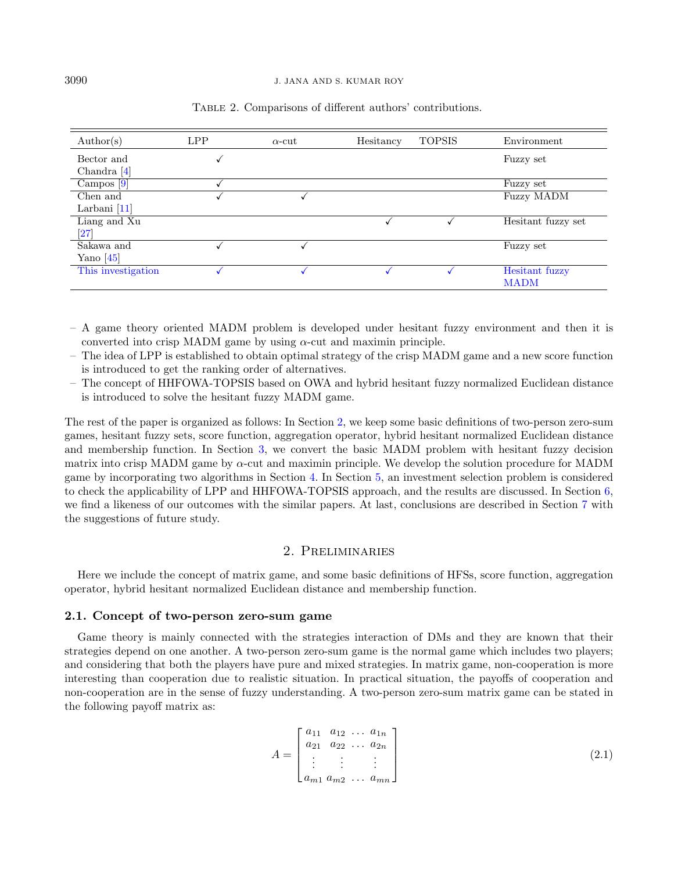| $\text{Author}(s)$ | <b>LPP</b> | $\alpha$ -cut | Hesitancy | <b>TOPSIS</b> | Environment        |
|--------------------|------------|---------------|-----------|---------------|--------------------|
| Bector and         | √          |               |           |               | Fuzzy set          |
| Chandra $[4]$      |            |               |           |               |                    |
| Campos $[9]$       |            |               |           |               | Fuzzy set          |
| Chen and           |            |               |           |               | <b>Fuzzy MADM</b>  |
| Larbani $[11]$     |            |               |           |               |                    |
| Liang and Xu       |            |               |           |               | Hesitant fuzzy set |
| $\left[ 27\right]$ |            |               |           |               |                    |
| Sakawa and         |            |               |           |               | Fuzzy set          |
| Yano $\sqrt{45}$   |            |               |           |               |                    |
| This investigation |            |               |           |               | Hesitant fuzzy     |
|                    |            |               |           |               | <b>MADM</b>        |

<span id="page-3-0"></span>Table 2. Comparisons of different authors' contributions.

- A game theory oriented MADM problem is developed under hesitant fuzzy environment and then it is converted into crisp MADM game by using  $\alpha$ -cut and maximin principle.
- The idea of LPP is established to obtain optimal strategy of the crisp MADM game and a new score function is introduced to get the ranking order of alternatives.
- The concept of HHFOWA-TOPSIS based on OWA and hybrid hesitant fuzzy normalized Euclidean distance is introduced to solve the hesitant fuzzy MADM game.

The rest of the paper is organized as follows: In Section [2,](#page-3-1) we keep some basic definitions of two-person zero-sum games, hesitant fuzzy sets, score function, aggregation operator, hybrid hesitant normalized Euclidean distance and membership function. In Section [3,](#page-7-0) we convert the basic MADM problem with hesitant fuzzy decision matrix into crisp MADM game by  $\alpha$ -cut and maximin principle. We develop the solution procedure for MADM game by incorporating two algorithms in Section [4.](#page-9-0) In Section [5,](#page-12-0) an investment selection problem is considered to check the applicability of LPP and HHFOWA-TOPSIS approach, and the results are discussed. In Section [6,](#page-14-0) we find a likeness of our outcomes with the similar papers. At last, conclusions are described in Section [7](#page-15-0) with the suggestions of future study.

# 2. Preliminaries

<span id="page-3-1"></span>Here we include the concept of matrix game, and some basic definitions of HFSs, score function, aggregation operator, hybrid hesitant normalized Euclidean distance and membership function.

# 2.1. Concept of two-person zero-sum game

Game theory is mainly connected with the strategies interaction of DMs and they are known that their strategies depend on one another. A two-person zero-sum game is the normal game which includes two players; and considering that both the players have pure and mixed strategies. In matrix game, non-cooperation is more interesting than cooperation due to realistic situation. In practical situation, the payoffs of cooperation and non-cooperation are in the sense of fuzzy understanding. A two-person zero-sum matrix game can be stated in the following payoff matrix as:

$$
A = \begin{bmatrix} a_{11} & a_{12} & \dots & a_{1n} \\ a_{21} & a_{22} & \dots & a_{2n} \\ \vdots & \vdots & \vdots & \vdots \\ a_{m1} & a_{m2} & \dots & a_{mn} \end{bmatrix}
$$
 (2.1)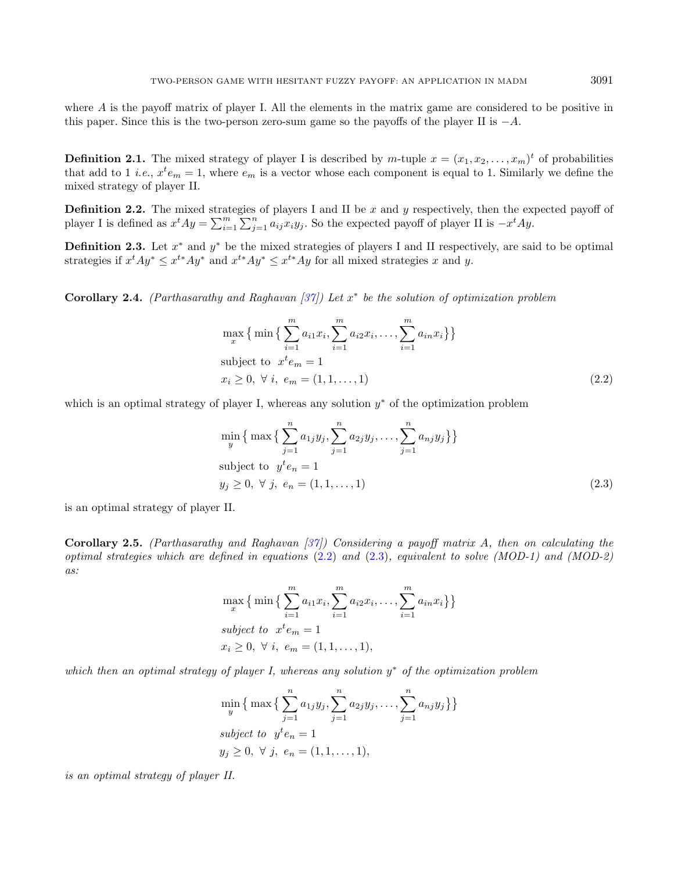where  $A$  is the payoff matrix of player I. All the elements in the matrix game are considered to be positive in this paper. Since this is the two-person zero-sum game so the payoffs of the player II is  $-A$ .

**Definition 2.1.** The mixed strategy of player I is described by  $m$ -tuple  $x = (x_1, x_2, \ldots, x_m)^t$  of probabilities that add to 1 *i.e.*,  $x^t e_m = 1$ , where  $e_m$  is a vector whose each component is equal to 1. Similarly we define the mixed strategy of player II.

**Definition 2.2.** The mixed strategies of players I and II be  $x$  and  $y$  respectively, then the expected payoff of player I is defined as  $x^t A y = \sum_{i=1}^m \sum_{j=1}^n a_{ij} x_i y_j$ . So the expected payoff of player II is  $-x^t A y$ .

**Definition 2.3.** Let  $x^*$  and  $y^*$  be the mixed strategies of players I and II respectively, are said to be optimal strategies if  $x^t A y^* \leq x^{t*} A y^*$  and  $x^{t*} A y^* \leq x^{t*} A y$  for all mixed strategies x and y.

**Corollary 2.4.** (Parthasarathy and Raghavan [\[37\]](#page-17-26)) Let  $x^*$  be the solution of optimization problem

<span id="page-4-1"></span><span id="page-4-0"></span>
$$
\max_{x} \{ \min \{ \sum_{i=1}^{m} a_{i1} x_i, \sum_{i=1}^{m} a_{i2} x_i, \dots, \sum_{i=1}^{m} a_{in} x_i \} \}
$$
\nsubject to 
$$
x^t e_m = 1
$$
\n
$$
x_i \geq 0, \forall i, e_m = (1, 1, \dots, 1)
$$
\n(2.2)

which is an optimal strategy of player I, whereas any solution  $y^*$  of the optimization problem

$$
\min_{y} \{ \max \{ \sum_{j=1}^{n} a_{1j} y_j, \sum_{j=1}^{n} a_{2j} y_j, \dots, \sum_{j=1}^{n} a_{nj} y_j \} \}
$$
\nsubject to  $y^t e_n = 1$   
\n $y_j \geq 0, \forall j, e_n = (1, 1, \dots, 1)$ \n(2.3)

is an optimal strategy of player II.

Corollary 2.5. (Parthasarathy and Raghavan  $(37)$ ) Considering a payoff matrix A, then on calculating the optimal strategies which are defined in equations  $(2.2)$  and  $(2.3)$ , equivalent to solve  $(MOD-1)$  and  $(MOD-2)$ as:

$$
\max_{x} \{ \min \{ \sum_{i=1}^{m} a_{i1} x_i, \sum_{i=1}^{m} a_{i2} x_i, \dots, \sum_{i=1}^{m} a_{in} x_i \} \}
$$
  
subject to  $x^t e_m = 1$   
 $x_i \geq 0, \forall i, e_m = (1, 1, \dots, 1),$ 

which then an optimal strategy of player I, whereas any solution  $y^*$  of the optimization problem

$$
\min_{y} \{ \max \{ \sum_{j=1}^{n} a_{1j} y_j, \sum_{j=1}^{n} a_{2j} y_j, \dots, \sum_{j=1}^{n} a_{nj} y_j \} \}
$$
  
subject to  $y^t e_n = 1$   
 $y_j \ge 0, \forall j, e_n = (1, 1, \dots, 1),$ 

is an optimal strategy of player II.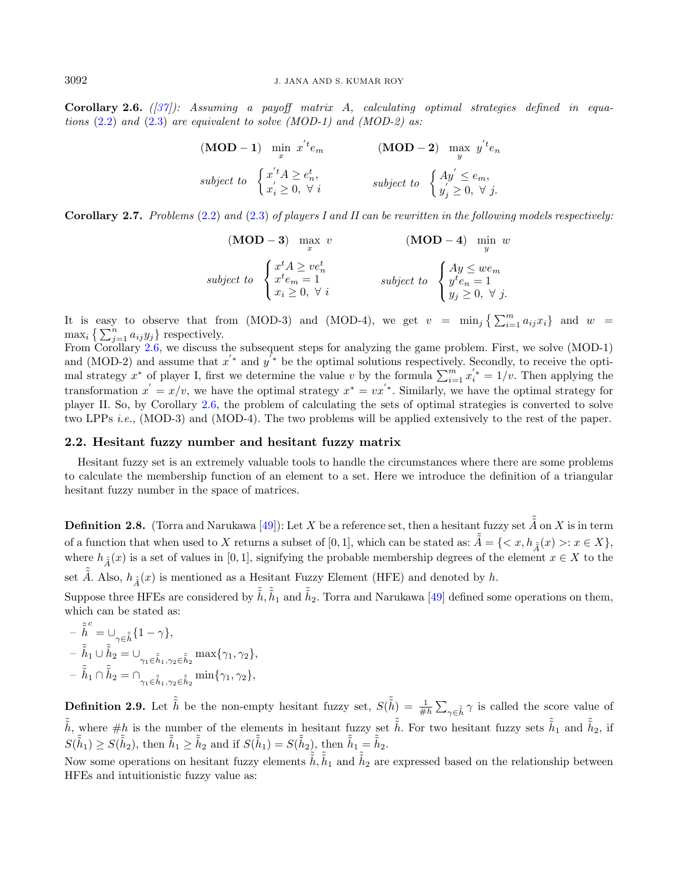<span id="page-5-0"></span>Corollary 2.6.  $(\frac{37}{)}$ : Assuming a payoff matrix A, calculating optimal strategies defined in equations  $(2.2)$  and  $(2.3)$  are equivalent to solve (MOD-1) and (MOD-2) as:

$$
\begin{array}{ll}\n\textbf{(MOD - 1)} & \min_{x} x'^{t} e_m \\
\text{subject to} & \begin{cases} x'^{t} A \geq e_n^t, \\ x'_i \geq 0, \ \forall i \end{cases} \\
\text{subject to} & \begin{cases} Ay' \leq e_m, \\ y'_j \geq 0, \ \forall j. \end{cases}\n\end{array}
$$

**Corollary 2.7.** Problems [\(2.2\)](#page-4-0) and [\(2.3\)](#page-4-1) of players I and II can be rewritten in the following models respectively:

$$
\begin{array}{ll}\n\textbf{(MOD - 3)} & \max_{x} \ v & \textbf{(MOD - 4)} & \min_{y} \ w \\
\text{subject to} & \begin{cases} x^t A \ge v e_n^t \\ x^t e_m = 1 \\ x_i \ge 0, \ \forall \ i \end{cases} & \text{subject to} \ \begin{cases} Ay \le w e_m \\ y^t e_n = 1 \\ y_j \ge 0, \ \forall \ j. \end{cases}\n\end{array}
$$

It is easy to observe that from (MOD-3) and (MOD-4), we get  $v = \min_j \left\{ \sum_{i=1}^m a_{ij} x_i \right\}$  and  $w =$  $\max_i \left\{ \sum_{j=1}^n a_{ij} y_j \right\}$  respectively.

From Corollary [2.6,](#page-5-0) we discuss the subsequent steps for analyzing the game problem. First, we solve (MOD-1) and (MOD-2) and assume that  $x^{'*}$  and  $y^{'*}$  be the optimal solutions respectively. Secondly, to receive the optimal strategy  $x^*$  of player I, first we determine the value v by the formula  $\sum_{i=1}^{m} x_i^{'*} = 1/v$ . Then applying the transformation  $x' = x/v$ , we have the optimal strategy  $x^* = vx'^*$ . Similarly, we have the optimal strategy for player II. So, by Corollary [2.6,](#page-5-0) the problem of calculating the sets of optimal strategies is converted to solve two LPPs i.e., (MOD-3) and (MOD-4). The two problems will be applied extensively to the rest of the paper.

# 2.2. Hesitant fuzzy number and hesitant fuzzy matrix

Hesitant fuzzy set is an extremely valuable tools to handle the circumstances where there are some problems to calculate the membership function of an element to a set. Here we introduce the definition of a triangular hesitant fuzzy number in the space of matrices.

**Definition 2.8.** (Torra and Narukawa [\[49\]](#page-17-0)): Let X be a reference set, then a hesitant fuzzy set  $\tilde{\tilde{A}}$  on X is in term of a function that when used to X returns a subset of [0, 1], which can be stated as:  $\tilde{A} = \{ \langle x, h_{\tilde{A}}(x) > : x \in X \}$ , where  $h_{\tilde{A}}(x)$  is a set of values in [0, 1], signifying the probable membership degrees of the element  $x \in X$  to the

set  $\tilde{A}$ . Also,  $h_{\tilde{A}}(x)$  is mentioned as a Hesitant Fuzzy Element (HFE) and denoted by h.

Suppose three HFEs are considered by  $\tilde{\tilde{h}}$ ,  $\tilde{\tilde{h}}_1$  and  $\tilde{\tilde{h}}_2$ . Torra and Narukawa [\[49\]](#page-17-0) defined some operations on them, which can be stated as:

$$
\begin{aligned}&-\tilde{\hat{h}}^c=\cup_{\gamma\in\tilde{\hat{h}}}\{1-\gamma\},\\&-\tilde{\hat{h}}_1\cup\tilde{\hat{h}}_2=\cup_{\gamma_1\in\tilde{\hat{h}}_1,\gamma_2\in\tilde{\hat{h}}_2}\max\{\gamma_1,\gamma_2\},\\&-\tilde{\hat{h}}_1\cap\tilde{\hat{h}}_2=\cap_{\gamma_1\in\tilde{\hat{h}}_1,\gamma_2\in\tilde{\hat{h}}_2}\min\{\gamma_1,\gamma_2\},\end{aligned}
$$

**Definition 2.9.** Let  $\tilde{h}$  be the non-empty hesitant fuzzy set,  $S(\tilde{h}) = \frac{1}{\#h} \sum_{\gamma \in \tilde{h}} \gamma$  is called the score value of  $\tilde{\tilde{h}}$ , where  $\#h$  is the number of the elements in hesitant fuzzy set  $\tilde{\tilde{h}}$ . For two hesitant fuzzy sets  $\tilde{\tilde{h}}_1$  and  $\tilde{\tilde{h}}_2$ , if  $S(\tilde{\tilde{h}}_1) \geq S(\tilde{\tilde{h}}_2)$ , then  $\tilde{\tilde{h}}_1 \geq \tilde{\tilde{h}}_2$  and if  $S(\tilde{\tilde{h}}_1) = S(\tilde{\tilde{h}}_2)$ , then  $\tilde{\tilde{h}}_1 = \tilde{\tilde{h}}_2$ .

Now some operations on hesitant fuzzy elements  $\tilde{\tilde{h}}$ ,  $\tilde{h}_1$  and  $\tilde{h}_2$  are expressed based on the relationship between HFEs and intuitionistic fuzzy value as: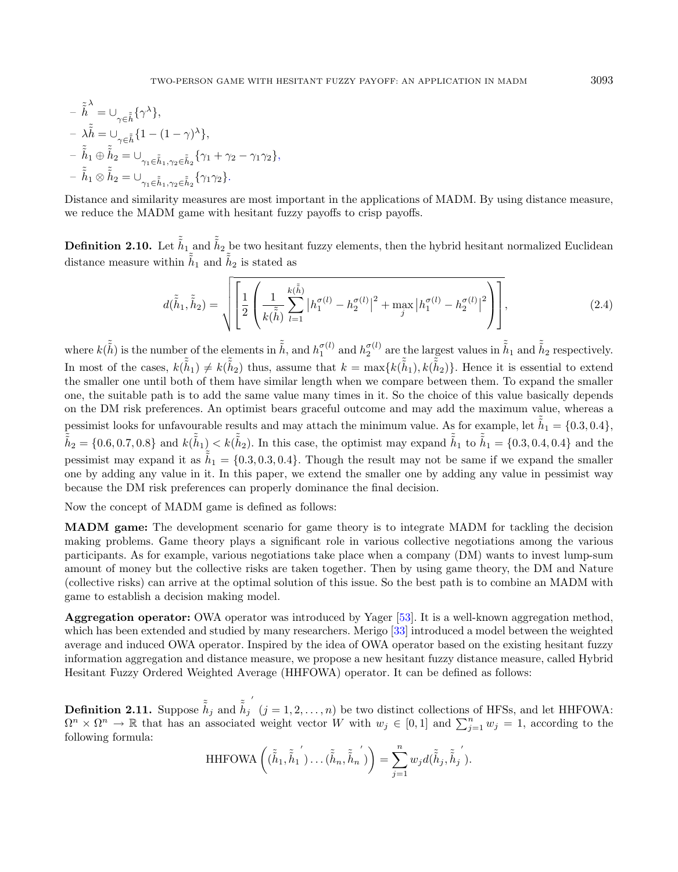$$
\begin{aligned}\n&-\tilde{\tilde{h}}^{\lambda} = \cup_{\gamma \in \tilde{\tilde{h}}} \{ \gamma^{\lambda} \}, \\
&-\lambda \tilde{\tilde{h}} = \cup_{\gamma \in \tilde{\tilde{h}}} \{ 1 - (1 - \gamma)^{\lambda} \}, \\
&-\tilde{\tilde{h}}_1 \oplus \tilde{\tilde{h}}_2 = \cup_{\gamma_1 \in \tilde{\tilde{h}}_1, \gamma_2 \in \tilde{\tilde{h}}_2} \{ \gamma_1 + \gamma_2 - \gamma_1 \gamma_2 \}, \\
&-\tilde{\tilde{h}}_1 \otimes \tilde{\tilde{h}}_2 = \cup_{\gamma_1 \in \tilde{\tilde{h}}_1, \gamma_2 \in \tilde{\tilde{h}}_2} \{ \gamma_1 \gamma_2 \}.\n\end{aligned}
$$

Distance and similarity measures are most important in the applications of MADM. By using distance measure, we reduce the MADM game with hesitant fuzzy payoffs to crisp payoffs.

**Definition 2.10.** Let  $\tilde{\tilde{h}}_1$  and  $\tilde{\tilde{h}}_2$  be two hesitant fuzzy elements, then the hybrid hesitant normalized Euclidean distance measure within  $\tilde{\tilde{h}}_1$  and  $\tilde{\tilde{h}}_2$  is stated as

$$
d(\tilde{\tilde{h}}_1, \tilde{\tilde{h}}_2) = \sqrt{\left[\frac{1}{2}\left(\frac{1}{k(\tilde{\tilde{h}})}\sum_{l=1}^{k(\tilde{\tilde{h}})}\left|h_1^{\sigma(l)} - h_2^{\sigma(l)}\right|^2 + \max_{j}\left|h_1^{\sigma(l)} - h_2^{\sigma(l)}\right|^2\right)\right]},
$$
\n(2.4)

where  $k(\tilde{\tilde{h}})$  is the number of the elements in  $\tilde{\tilde{h}}$ , and  $h_1^{\sigma(l)}$  and  $h_2^{\sigma(l)}$  are the largest values in  $\tilde{\tilde{h}}_1$  and  $\tilde{\tilde{h}}_2$  respectively. In most of the cases,  $k(\tilde{\tilde{h}}_1) \neq k(\tilde{\tilde{h}}_2)$  thus, assume that  $k = \max\{k(\tilde{\tilde{h}}_1), k(\tilde{\tilde{h}}_2)\}\.$  Hence it is essential to extend the smaller one until both of them have similar length when we compare between them. To expand the smaller one, the suitable path is to add the same value many times in it. So the choice of this value basically depends on the DM risk preferences. An optimist bears graceful outcome and may add the maximum value, whereas a pessimist looks for unfavourable results and may attach the minimum value. As for example, let  $\tilde{h}_1 = \{0.3, 0.4\}$ ,  $\tilde{\tilde{h}}_2 = \{0.6, 0.7, 0.8\}$  and  $k(\tilde{\tilde{h}}_1) < k(\tilde{\tilde{h}}_2)$ . In this case, the optimist may expand  $\tilde{\tilde{h}}_1$  to  $\tilde{\tilde{h}}_1 = \{0.3, 0.4, 0.4\}$  and the pessimist may expand it as  $\tilde{\tilde{h}}_1 = \{0.3, 0.3, 0.4\}$ . Though the result may not be same if we expand the smaller one by adding any value in it. In this paper, we extend the smaller one by adding any value in pessimist way because the DM risk preferences can properly dominance the final decision.

Now the concept of MADM game is defined as follows:

<span id="page-6-1"></span>MADM game: The development scenario for game theory is to integrate MADM for tackling the decision making problems. Game theory plays a significant role in various collective negotiations among the various participants. As for example, various negotiations take place when a company (DM) wants to invest lump-sum amount of money but the collective risks are taken together. Then by using game theory, the DM and Nature (collective risks) can arrive at the optimal solution of this issue. So the best path is to combine an MADM with game to establish a decision making model.

<span id="page-6-0"></span>Aggregation operator: OWA operator was introduced by Yager [\[53\]](#page-18-2). It is a well-known aggregation method, which has been extended and studied by many researchers. Merigo [\[33\]](#page-17-27) introduced a model between the weighted average and induced OWA operator. Inspired by the idea of OWA operator based on the existing hesitant fuzzy information aggregation and distance measure, we propose a new hesitant fuzzy distance measure, called Hybrid Hesitant Fuzzy Ordered Weighted Average (HHFOWA) operator. It can be defined as follows:

Definition 2.11. Suppose  $\tilde{\tilde{h}}_j$  and  $\tilde{\tilde{h}}_j$ ′  $(j = 1, 2, \ldots, n)$  be two distinct collections of HFSs, and let HHFOWA:  $\Omega^n \times \Omega^n \to \mathbb{R}$  that has an associated weight vector W with  $w_j \in [0,1]$  and  $\sum_{j=1}^n w_j = 1$ , according to the following formula:

HHFOWA 
$$
\left( (\tilde{\tilde{h}}_1, \tilde{\tilde{h}}_1) \dots (\tilde{\tilde{h}}_n, \tilde{\tilde{h}}_n) \right) = \sum_{j=1}^n w_j d(\tilde{\tilde{h}}_j, \tilde{\tilde{h}}_j).
$$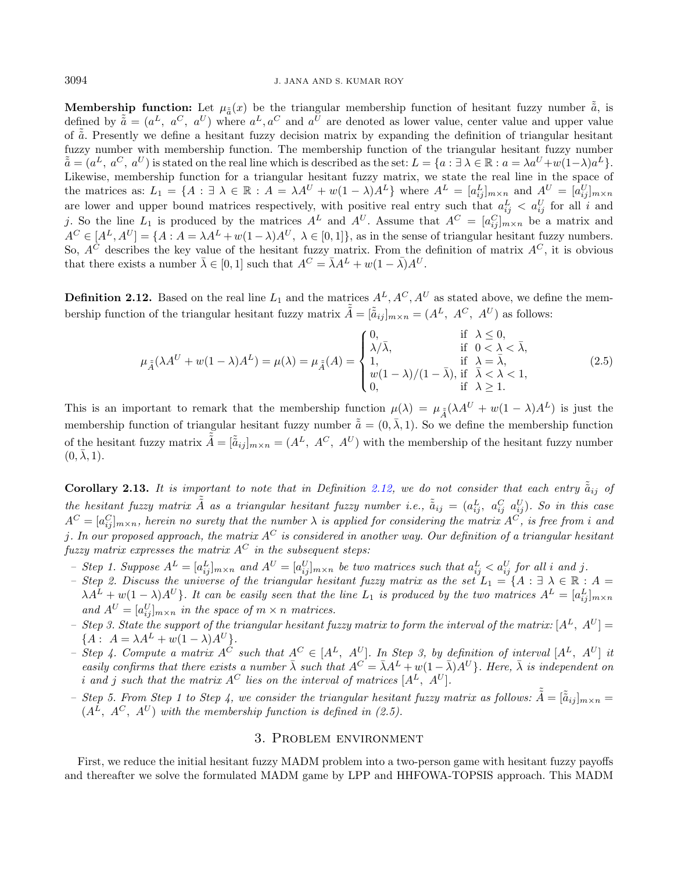**Membership function:** Let  $\mu_{\tilde{a}}(x)$  be the triangular membership function of hesitant fuzzy number  $\tilde{a}$ , is defined by  $\tilde{a} = (a^L, a^C, a^U)$  where  $a^L, a^C$  and  $a^U$  are denoted as lower value, center value and upper value of  $\tilde{a}$ . Presently we define a hesitant fuzzy decision matrix by expanding the definition of triangular hesitant fuzzy number with membership function. The membership function of the triangular hesitant fuzzy number  $\tilde{\tilde{a}} = (a^L, a^C, a^U)$  is stated on the real line which is described as the set:  $L = \{a : \exists \lambda \in \mathbb{R} : a = \lambda a^U + w(1-\lambda)a^L\}.$ Likewise, membership function for a triangular hesitant fuzzy matrix, we state the real line in the space of the matrices as:  $L_1 = \{A : \exists \lambda \in \mathbb{R} : A = \lambda A^U + w(1-\lambda)A^L\}$  where  $A^L = [a_{ij}^L]_{m \times n}$  and  $A^U = [a_{ij}^U]_{m \times n}$ are lower and upper bound matrices respectively, with positive real entry such that  $a_{ij}^L < a_{ij}^U$  for all i and j. So the line  $L_1$  is produced by the matrices  $A^L$  and  $A^U$ . Assume that  $A^C = [a_{ij}^C]_{m \times n}$  be a matrix and  $A^C \in [A^L, A^U] = \{ A : A = \lambda A^L + w(1-\lambda)A^U, \lambda \in [0,1] \},\$ as in the sense of triangular hesitant fuzzy numbers. So,  $A^{\tilde{C}}$  describes the key value of the hesitant fuzzy matrix. From the definition of matrix  $A^C$ , it is obvious that there exists a number  $\bar{\lambda} \in [0, 1]$  such that  $A^C = \bar{\lambda} A^L + w(1 - \bar{\lambda}) A^U$ .

<span id="page-7-1"></span>**Definition 2.12.** Based on the real line  $L_1$  and the matrices  $A^L, A^C, A^U$  as stated above, we define the membership function of the triangular hesitant fuzzy matrix  $\tilde{\tilde{A}} = [\tilde{a}_{ij}]_{m \times n} = (A^L, A^C, A^U)$  as follows:

$$
\mu_{\tilde{A}}(\lambda A^U + w(1 - \lambda)A^L) = \mu(\lambda) = \mu_{\tilde{A}}(A) = \begin{cases} 0, & \text{if } \lambda \le 0, \\ \lambda/\bar{\lambda}, & \text{if } 0 < \lambda < \bar{\lambda}, \\ 1, & \text{if } \lambda = \bar{\lambda}, \\ w(1 - \lambda)/(1 - \bar{\lambda}), & \text{if } \bar{\lambda} < \lambda < 1, \\ 0, & \text{if } \lambda \ge 1. \end{cases}
$$
(2.5)

This is an important to remark that the membership function  $\mu(\lambda) = \mu_{\tilde{A}}(\lambda A^{U} + w(1-\lambda)A^{L})$  is just the membership function of triangular hesitant fuzzy number  $\tilde{\tilde{a}} = (0, \bar{\lambda}, 1)$ . So we define the membership function of the hesitant fuzzy matrix  $\tilde{\tilde{A}} = [\tilde{\tilde{a}}_{ij}]_{m \times n} = (A^L, A^C, A^U)$  with the membership of the hesitant fuzzy number  $(0, \lambda, 1).$ 

**Corollary 2.13.** It is important to note that in Definition [2.12,](#page-7-1) we do not consider that each entry  $\tilde{a}_{ij}$  of the hesitant fuzzy matrix  $\tilde{\tilde{A}}$  as a triangular hesitant fuzzy number i.e.,  $\tilde{\tilde{a}}_{ij}=(a^L_{ij},\;a^C_{ij}\;a^U_{ij})$ . So in this case  $A^C=[a_{ij}^C]_{m\times n}$ , herein no surety that the number  $\lambda$  is applied for considering the matrix  $A^C$ , is free from  $i$  and *i*. In our proposed approach, the matrix  $A^C$  is considered in another way. Our definition of a triangular hesitant fuzzy matrix expresses the matrix  $A^C$  in the subsequent steps:

- Step 1. Suppose  $A^L=[a_{ij}^L]_{m\times n}$  and  $A^U=[a_{ij}^U]_{m\times n}$  be two matrices such that  $a_{ij}^L < a_{ij}^U$  for all i and j.
- Step 2. Discuss the universe of the triangular hesitant fuzzy matrix as the set  $L_1 = \{A : \exists \lambda \in \mathbb{R} : A =$  $\lambda A^L + w(1-\lambda)A^U$ . It can be easily seen that the line  $L_1$  is produced by the two matrices  $A^L = [a_{ij}^L]_{m \times n}$ and  $A^U = [a_{ij}^U]_{m \times n}$  in the space of  $m \times n$  matrices.
- Step 3. State the support of the triangular hesitant fuzzy matrix to form the interval of the matrix:  $[A<sup>L</sup>, A<sup>U</sup>]$  ${A : A = \lambda A^{L} + w(1 - \lambda)A^{U}}.$
- Step 4. Compute a matrix  $A^{\tilde{C}}$  such that  $A^C \in [A^L, A^U]$ . In Step 3, by definition of interval  $[A^L, A^U]$  it easily confirms that there exists a number  $\bar{\lambda}$  such that  $A^C = \bar{\lambda}A^L + w(1 - \bar{\lambda})A^U$ . Here,  $\bar{\lambda}$  is independent on i and j such that the matrix  $A^C$  lies on the interval of matrices  $[A^L, A^U].$
- Step 5. From Step 1 to Step 4, we consider the triangular hesitant fuzzy matrix as follows:  $\tilde{\tilde{A}} = [\tilde{\tilde{a}}_{ij}]_{m \times n} =$  $(A^{\overline{L}}, A^{\overline{C}}, A^{\overline{U}})$  with the membership function is defined in (2.5).

# 3. Problem environment

<span id="page-7-0"></span>First, we reduce the initial hesitant fuzzy MADM problem into a two-person game with hesitant fuzzy payoffs and thereafter we solve the formulated MADM game by LPP and HHFOWA-TOPSIS approach. This MADM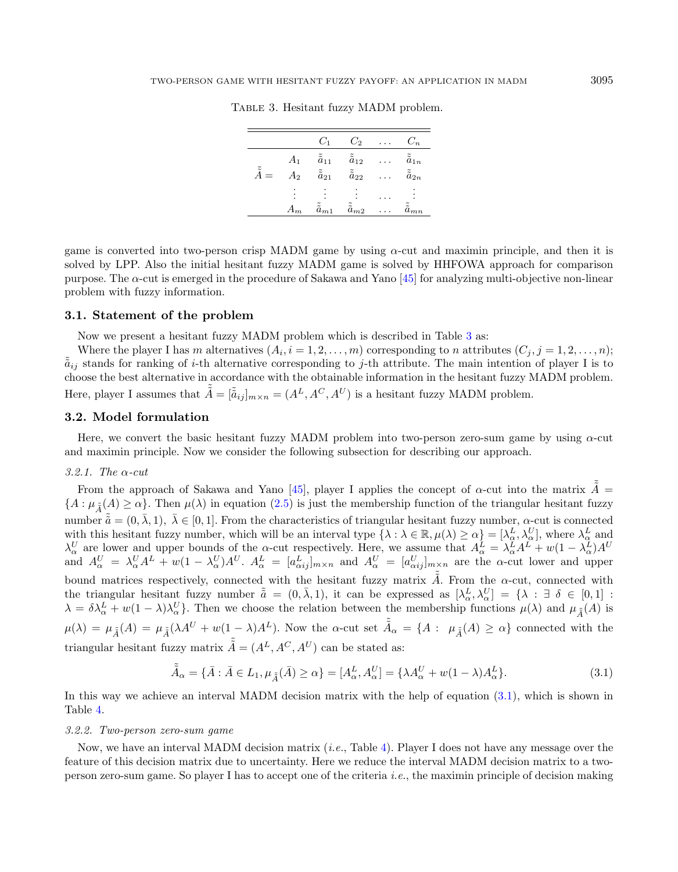|                    |       | $C_1$                    | $C_2$                    | .         | $C_n$                    |
|--------------------|-------|--------------------------|--------------------------|-----------|--------------------------|
|                    | $A_1$ | $\tilde{\tilde{a}}_{11}$ | $\tilde{\tilde{a}}_{12}$ | $\cdot$ . | $\tilde{\tilde{a}}_{1n}$ |
| $\tilde{\tilde{}}$ | $A_2$ | $\tilde{\tilde{a}}_{21}$ | $\tilde{\tilde{a}}_{22}$ |           | $\tilde{\tilde{a}}_{2n}$ |
|                    |       |                          |                          |           |                          |
|                    |       |                          |                          |           |                          |
|                    |       |                          |                          |           |                          |
|                    | $A_m$ | $\tilde{\tilde{a}}_{m1}$ | $\tilde{\tilde{a}}_{m2}$ |           | $\tilde{\tilde{a}}_{mn}$ |
|                    |       |                          |                          |           |                          |

<span id="page-8-0"></span>Table 3. Hesitant fuzzy MADM problem.

game is converted into two-person crisp MADM game by using  $\alpha$ -cut and maximin principle, and then it is solved by LPP. Also the initial hesitant fuzzy MADM game is solved by HHFOWA approach for comparison purpose. The  $\alpha$ -cut is emerged in the procedure of Sakawa and Yano [\[45\]](#page-17-25) for analyzing multi-objective non-linear problem with fuzzy information.

# 3.1. Statement of the problem

Now we present a hesitant fuzzy MADM problem which is described in Table [3](#page-8-0) as:

 $\tilde{\tilde{A}}$ 

Where the player I has m alternatives  $(A_i, i = 1, 2, ..., m)$  corresponding to n attributes  $(C_j, j = 1, 2, ..., n)$ ;  $\tilde{\tilde{a}}_{ij}$  stands for ranking of *i*-th alternative corresponding to *j*-th attribute. The main intention of player I is to choose the best alternative in accordance with the obtainable information in the hesitant fuzzy MADM problem. Here, player I assumes that  $\tilde{\tilde{A}} = [\tilde{\tilde{a}}_{ij}]_{m \times n} = (A^L, A^C, A^U)$  is a hesitant fuzzy MADM problem.

# 3.2. Model formulation

Here, we convert the basic hesitant fuzzy MADM problem into two-person zero-sum game by using  $\alpha$ -cut and maximin principle. Now we consider the following subsection for describing our approach.

# 3.2.1. The  $\alpha$ -cut

From the approach of Sakawa and Yano [\[45\]](#page-17-25), player I applies the concept of  $\alpha$ -cut into the matrix  $\tilde{\tilde{A}} =$  ${A : \mu_{\tilde{A}}(A) \geq \alpha}$ . Then  $\mu(\lambda)$  in equation [\(2.5\)](#page-6-0) is just the membership function of the triangular hesitant fuzzy number  $\tilde{\tilde{a}} = (0, \bar{\lambda}, 1), \ \bar{\lambda} \in [0, 1]$ . From the characteristics of triangular hesitant fuzzy number,  $\alpha$ -cut is connected with this hesitant fuzzy number, which will be an interval type  $\{\lambda : \lambda \in \mathbb{R}, \mu(\lambda) \ge \alpha\} = [\lambda_{\alpha}^{L}, \lambda_{\alpha}^{U}]$ , where  $\lambda_{\alpha}^{L}$  and  $\lambda_{\alpha}^U$  are lower and upper bounds of the  $\alpha$ -cut respectively. Here, we assume that  $A_{\alpha}^L = \lambda_{\alpha}^L A^L + w(1 - \lambda_{\alpha}^L)A^U$ and  $A^U_\alpha = \lambda^U_\alpha A^L + w(1-\lambda^U_\alpha)A^U$ .  $A^L_\alpha = [a^L_{\alpha ij}]_{m \times n}$  and  $A^U_\alpha = [a^U_{\alpha ij}]_{m \times n}$  are the  $\alpha$ -cut lower and upper bound matrices respectively, connected with the hesitant fuzzy matrix  $\tilde{A}$ . From the  $\alpha$ -cut, connected with the triangular hesitant fuzzy number  $\tilde{a} = (0, \bar{\lambda}, 1)$ , it can be expressed as  $[\lambda^L_{\alpha}, \lambda^U_{\alpha}] = {\lambda : \exists \delta \in [0, 1] : \lambda$  $\lambda = \delta \lambda_{\alpha}^{L} + w(1-\lambda)\lambda_{\alpha}^{U}$ . Then we choose the relation between the membership functions  $\mu(\lambda)$  and  $\mu_{\tilde{A}}(A)$  is  $\mu(\lambda) = \mu_{\tilde{A}}(A) = \mu_{\tilde{A}}(\lambda A^U + w(1-\lambda)A^L)$ . Now the  $\alpha$ -cut set  $\tilde{A}_{\alpha} = \{A : \mu_{\tilde{A}}(A) \geq \alpha\}$  connected with the triangular hesitant fuzzy matrix  $\tilde{\tilde{A}} = (A^L, A^C, A^U)$  can be stated as:

<span id="page-8-1"></span>
$$
\tilde{\tilde{A}}_{\alpha} = \{ \bar{A} : \bar{A} \in L_1, \mu_{\tilde{\tilde{A}}}(\bar{A}) \ge \alpha \} = [A_{\alpha}^L, A_{\alpha}^U] = \{ \lambda A_{\alpha}^U + w(1 - \lambda) A_{\alpha}^L \}.
$$
\n(3.1)

In this way we achieve an interval MADM decision matrix with the help of equation [\(3.1\)](#page-8-1), which is shown in Table [4.](#page-9-1)

#### 3.2.2. Two-person zero-sum game

Now, we have an interval MADM decision matrix (i.e., Table [4\)](#page-9-1). Player I does not have any message over the feature of this decision matrix due to uncertainty. Here we reduce the interval MADM decision matrix to a twoperson zero-sum game. So player I has to accept one of the criteria *i.e.*, the maximin principle of decision making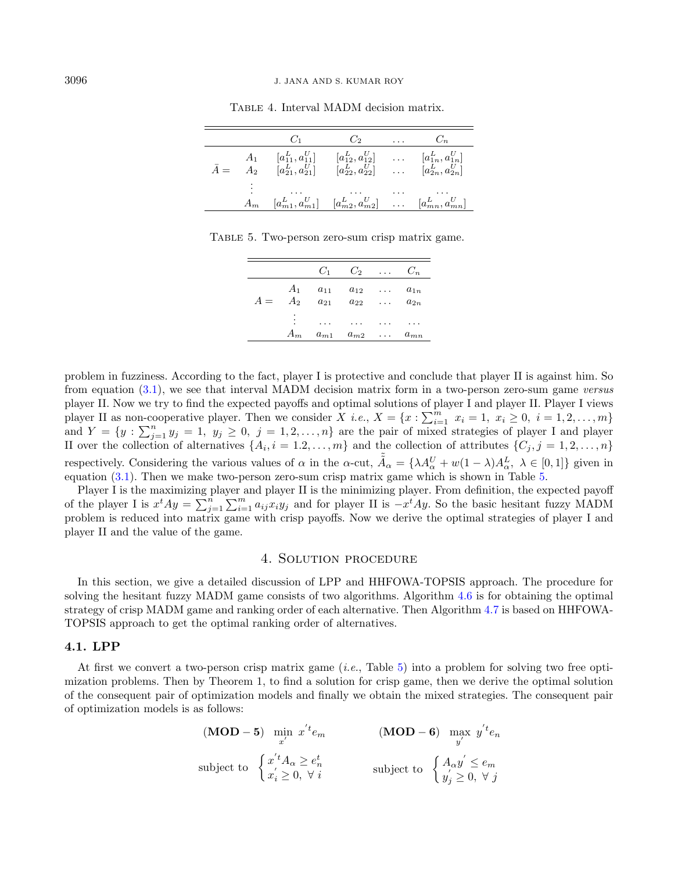|             | $C_1$                                                                                                                                                    | $C_2$ $C_n$                        |          |  |
|-------------|----------------------------------------------------------------------------------------------------------------------------------------------------------|------------------------------------|----------|--|
| $\bar{A} =$ | $A_1$ $[a_{11}^L, a_{11}^U]$ $[a_{12}^L, a_{12}^U]$ $[a_{1n}^L, a_{1n}^U]$<br>$A_2$ $[a_{21}^L, a_{21}^U]$ $[a_{22}^L, a_{22}^U]$ $[a_{2n}^L, a_{2n}^U]$ |                                    |          |  |
|             | $\cdots$<br>$A_m$ $[a_{m1}^L, a_{m1}^U]$ $[a_{m2}^L, a_{m2}^U]$ $[a_{mn}^L, a_{mn}^U]$                                                                   | $\sim$ $\sim$ $\sim$ $\sim$ $\sim$ | $\cdots$ |  |

<span id="page-9-2"></span><span id="page-9-1"></span>TABLE 4. Interval MADM decision matrix.

Table 5. Two-person zero-sum crisp matrix game.

|       |                | $C_1$    | $C_2$             |                             | $C_n$    |
|-------|----------------|----------|-------------------|-----------------------------|----------|
|       | $A_1$          | $a_{11}$ | $a_{12}$          | $\sim$ $\sim$ $\sim$ $\sim$ | $a_{1n}$ |
| $A =$ | A <sub>2</sub> | $a_{21}$ | $a_{22}$          | $\cdots$                    | $a_{2n}$ |
|       | ٠              | .        | $\cdots$          | .                           |          |
|       | $A_m$          |          | $a_{m1}$ $a_{m2}$ | $\cdots$                    | $a_{mn}$ |

problem in fuzziness. According to the fact, player I is protective and conclude that player II is against him. So from equation [\(3.1\)](#page-8-1), we see that interval MADM decision matrix form in a two-person zero-sum game versus player II. Now we try to find the expected payoffs and optimal solutions of player I and player II. Player I views player II as non-cooperative player. Then we consider  $X$  *i.e.*,  $X = \{x : \sum_{i=1}^{m} x_i = 1, x_i \ge 0, i = 1, 2, ..., m\}$ and  $Y = \{y : \sum_{j=1}^{n} y_j = 1, y_j \ge 0, j = 1, 2, ..., n\}$  are the pair of mixed strategies of player I and player II over the collection of alternatives  $\{A_i, i = 1, 2, ..., m\}$  and the collection of attributes  $\{C_j, j = 1, 2, ..., n\}$ respectively. Considering the various values of  $\alpha$  in the  $\alpha$ -cut,  $\tilde{A}_{\alpha} = {\lambda A_{\alpha}^U + w(1 - \lambda)A_{\alpha}^L, \lambda \in [0,1]}$  given in equation [\(3.1\)](#page-8-1). Then we make two-person zero-sum crisp matrix game which is shown in Table [5.](#page-9-2)

Player I is the maximizing player and player II is the minimizing player. From definition, the expected payoff of the player I is  $x^t A y = \sum_{j=1}^n \sum_{i=1}^m a_{ij} x_i y_j$  and for player II is  $-x^t A y$ . So the basic hesitant fuzzy MADM problem is reduced into matrix game with crisp payoffs. Now we derive the optimal strategies of player I and player II and the value of the game.

# 4. Solution procedure

<span id="page-9-0"></span>In this section, we give a detailed discussion of LPP and HHFOWA-TOPSIS approach. The procedure for solving the hesitant fuzzy MADM game consists of two algorithms. Algorithm [4.6](#page-11-0) is for obtaining the optimal strategy of crisp MADM game and ranking order of each alternative. Then Algorithm [4.7](#page-12-1) is based on HHFOWA-TOPSIS approach to get the optimal ranking order of alternatives.

# 4.1. LPP

At first we convert a two-person crisp matrix game (i.e., Table [5\)](#page-9-2) into a problem for solving two free optimization problems. Then by Theorem 1, to find a solution for crisp game, then we derive the optimal solution of the consequent pair of optimization models and finally we obtain the mixed strategies. The consequent pair of optimization models is as follows:

$$
\begin{array}{ll}\n\textbf{(MOD - 5)} & \min_{x'} x' e_m \\
\text{subject to} & \begin{cases} x' t_{\alpha} \ge e_n^t \\ x_i' \ge 0, \forall i \end{cases} \\
\text{subject to} & \begin{cases} A_{\alpha} y' \le e_m \\ y_j' \ge 0, \forall j \end{cases}\n\end{array}
$$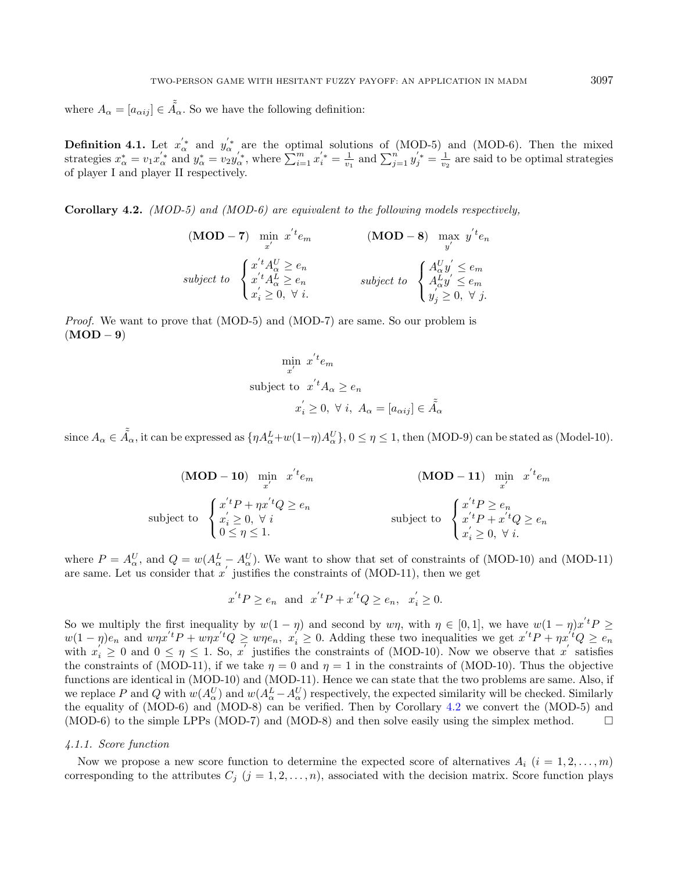<span id="page-10-1"></span>where  $A_{\alpha} = [a_{\alpha ij}] \in \tilde{A}_{\alpha}$ . So we have the following definition:

**Definition 4.1.** Let  $x'_\n\alpha^*$  and  $y'_\n\alpha^*$  are the optimal solutions of (MOD-5) and (MOD-6). Then the mixed strategies  $x_{\alpha}^* = v_1 x_{\alpha}'^*$  and  $y_{\alpha}^* = v_2 y_{\alpha}'^*$ , where  $\sum_{i=1}^m x_i'^* = \frac{1}{v_1}$  and  $\sum_{j=1}^n y_j'^* = \frac{1}{v_2}$  are said to be optimal strategies of player I and player II respectively.

<span id="page-10-0"></span>Corollary 4.2. (MOD-5) and (MOD-6) are equivalent to the following models respectively.

$$
\begin{array}{ll}\n\textbf{(MOD - 7)} & \min_{x'} x' e_m \\
\text{subject to} & \begin{cases} x' t A_\alpha^U \ge e_n \\
 x' t A_\alpha^L \ge e_n \\
 x_i \ge 0, \forall i.\n\end{cases} \\
\text{subject to} & \begin{cases} A_\alpha^U y' \le e_m \\
 A_\alpha^L y' \le e_m \\
 y_j' \ge 0, \forall j.\n\end{cases}\n\end{array}
$$

Proof. We want to prove that (MOD-5) and (MOD-7) are same. So our problem is  $(MOD - 9)$ 

$$
\min_{x'} x'^{t} e_m
$$
\nsubject to 
$$
x'^{t} A_{\alpha} \ge e_n
$$
\n
$$
x'_i \ge 0, \forall i, A_{\alpha} = [a_{\alpha ij}] \in \tilde{A}_{\alpha}
$$

since  $A_{\alpha} \in \tilde{A}_{\alpha}$ , it can be expressed as  $\{\eta A_{\alpha}^L + w(1-\eta)A_{\alpha}^U\}$ ,  $0 \leq \eta \leq 1$ , then (MOD-9) can be stated as (Model-10).

(MOD - 10) 
$$
\min_{x'} x' e_m
$$
  
\n(MOD - 11) 
$$
\min_{x'} x' e_m
$$
  
\nsubject to 
$$
\begin{cases}\n x' t P + \eta x' t Q \ge e_n \\
 x'_i \ge 0, \forall i \\
 0 \le \eta \le 1.\n\end{cases}
$$
  
\nsubject to 
$$
\begin{cases}\n x' t P \ge e_n \\
 x' t P + x' t Q \ge e_n \\
 x'_i \ge 0, \forall i.\n\end{cases}
$$

where  $P = A_{\alpha}^U$ , and  $Q = w(A_{\alpha}^L - A_{\alpha}^U)$ . We want to show that set of constraints of (MOD-10) and (MOD-11) are same. Let us consider that  $x'$  justifies the constraints of (MOD-11), then we get

$$
x^{t}P \ge e_n
$$
 and  $x^{t}P + x^{t}Q \ge e_n$ ,  $x'_{i} \ge 0$ .

So we multiply the first inequality by  $w(1 - \eta)$  and second by  $w\eta$ , with  $\eta \in [0, 1]$ , we have  $w(1 - \eta)x'^t P \ge$  $w(1-\eta)e_n$  and  $w\eta x'^{t}P + w\eta x'^{t}Q \geq w\eta e_n, x_i' \geq 0$ . Adding these two inequalities we get  $x'^{t}P + \eta x'^{t}Q \geq e_n$ with  $x_i' \geq 0$  and  $0 \leq \eta \leq 1$ . So, x' justifies the constraints of (MOD-10). Now we observe that x' satisfies the constraints of (MOD-11), if we take  $\eta = 0$  and  $\eta = 1$  in the constraints of (MOD-10). Thus the objective functions are identical in (MOD-10) and (MOD-11). Hence we can state that the two problems are same. Also, if we replace P and Q with  $w(A^U_\alpha)$  and  $w(A^L_\alpha - A^U_\alpha)$  respectively, the expected similarity will be checked. Similarly the equality of (MOD-6) and (MOD-8) can be verified. Then by Corollary [4.2](#page-10-0) we convert the (MOD-5) and (MOD-6) to the simple LPPs (MOD-7) and (MOD-8) and then solve easily using the simplex method.  $\square$ 

#### 4.1.1. Score function

Now we propose a new score function to determine the expected score of alternatives  $A_i$   $(i = 1, 2, \ldots, m)$ corresponding to the attributes  $C_j$   $(j = 1, 2, ..., n)$ , associated with the decision matrix. Score function plays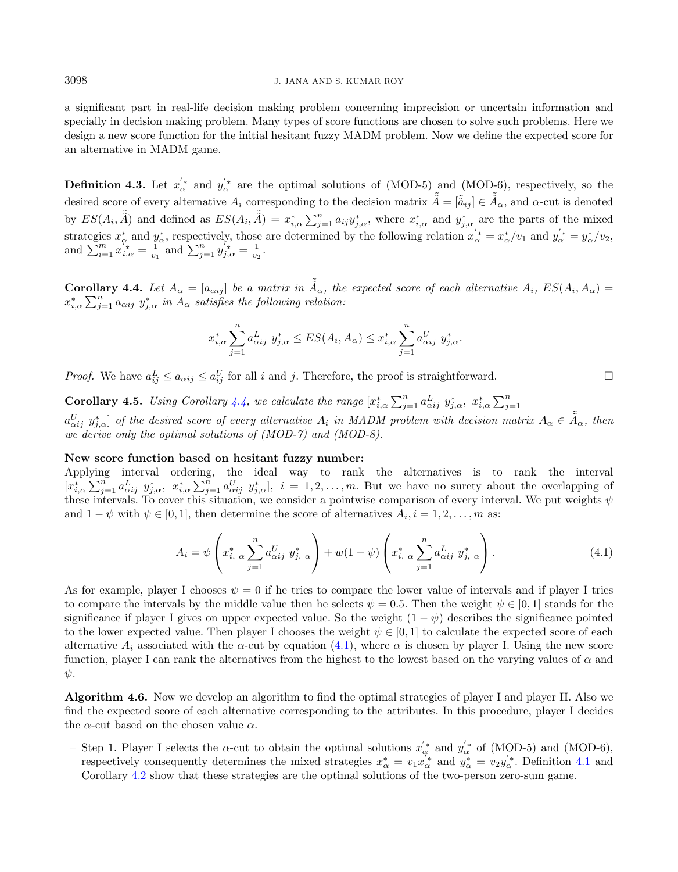a significant part in real-life decision making problem concerning imprecision or uncertain information and specially in decision making problem. Many types of score functions are chosen to solve such problems. Here we design a new score function for the initial hesitant fuzzy MADM problem. Now we define the expected score for an alternative in MADM game.

**Definition 4.3.** Let  $x'_\n\alpha^*$  and  $y'_\n\alpha^*$  are the optimal solutions of (MOD-5) and (MOD-6), respectively, so the desired score of every alternative  $A_i$  corresponding to the decision matrix  $\tilde{\tilde{A}} = [\tilde{\tilde{a}}_{ij}] \in \tilde{\tilde{A}}_{\alpha}$ , and  $\alpha$ -cut is denoted by  $ES(A_i, \tilde{\tilde{A}})$  and defined as  $ES(A_i, \tilde{\tilde{A}}) = x_{i,\alpha}^* \sum_{j=1}^n a_{ij} y_{j,\alpha}^*$ , where  $x_{i,\alpha}^*$  and  $y_{j,\alpha}^*$  are the parts of the mixed strategies  $x_{\alpha}^*$  and  $y_{\alpha}^*$ , respectively, those are determined by the following relation  $x_{\alpha}^{'*} = x_{\alpha}^*/v_1$  and  $y_{\alpha}^{'*} = y_{\alpha}^*/v_2$ , and  $\sum_{i=1}^{m} x_{i,\alpha}^{\tau_{*}} = \frac{1}{v_{1}}$  and  $\sum_{j=1}^{n} y_{j,\alpha}^{\tau_{*}} = \frac{1}{v_{2}}$ .

<span id="page-11-1"></span>**Corollary 4.4.** Let  $A_{\alpha} = [a_{\alpha ij}]$  be a matrix in  $\tilde{A}_{\alpha}$ , the expected score of each alternative  $A_i$ ,  $ES(A_i, A_{\alpha}) =$  $x_{i,\alpha}^*\sum_{j=1}^n a_{\alpha ij} y_{j,\alpha}^*$  in  $A_\alpha$  satisfies the following relation:

<span id="page-11-2"></span>
$$
x_{i,\alpha}^* \sum_{j=1}^n a_{\alpha ij}^L \ y_{j,\alpha}^* \le ES(A_i, A_\alpha) \le x_{i,\alpha}^* \sum_{j=1}^n a_{\alpha ij}^U \ y_{j,\alpha}^*.
$$

*Proof.* We have  $a_{ij}^L \le a_{\alpha ij} \le a_{ij}^U$  for all i and j. Therefore, the proof is straightforward.

**Corollary 4.5.** Using Corollary [4.4,](#page-11-1) we calculate the range  $[x_{i,\alpha}^* \sum_{j=1}^n a_{\alpha ij}^L y_{j,\alpha}^*, x_{i,\alpha}^* \sum_{j=1}^n$ 

 $a^U_{\alpha ij}$   $y^*_{j,\alpha}$  of the desired score of every alternative  $A_i$  in MADM problem with decision matrix  $A_\alpha \in \tilde{A}_\alpha$ , then we derive only the optimal solutions of (MOD-7) and (MOD-8).

# New score function based on hesitant fuzzy number:

Applying interval ordering, the ideal way to rank the alternatives is to rank the interval  $[x_{i,\alpha}^*\sum_{j=1}^n a_{\alpha ij}^L y_{j,\alpha}^*, x_{i,\alpha}^*\sum_{j=1}^n a_{\alpha ij}^U y_{j,\alpha}^*, i = 1,2,\ldots,m$ . But we have no surety about the overlapping of these intervals. To cover this situation, we consider a pointwise comparison of every interval. We put weights  $\psi$ and  $1 - \psi$  with  $\psi \in [0, 1]$ , then determine the score of alternatives  $A_i, i = 1, 2, \ldots, m$  as:

$$
A_{i} = \psi \left( x_{i, \alpha}^{*} \sum_{j=1}^{n} a_{\alpha i j}^{U} y_{j, \alpha}^{*} \right) + w(1 - \psi) \left( x_{i, \alpha}^{*} \sum_{j=1}^{n} a_{\alpha i j}^{L} y_{j, \alpha}^{*} \right).
$$
 (4.1)

As for example, player I chooses  $\psi = 0$  if he tries to compare the lower value of intervals and if player I tries to compare the intervals by the middle value then he selects  $\psi = 0.5$ . Then the weight  $\psi \in [0,1]$  stands for the significance if player I gives on upper expected value. So the weight  $(1 - \psi)$  describes the significance pointed to the lower expected value. Then player I chooses the weight  $\psi \in [0,1]$  to calculate the expected score of each alternative  $A_i$  associated with the  $\alpha$ -cut by equation [\(4.1\)](#page-11-2), where  $\alpha$  is chosen by player I. Using the new score function, player I can rank the alternatives from the highest to the lowest based on the varying values of  $\alpha$  and  $\psi$ .

<span id="page-11-0"></span>Algorithm 4.6. Now we develop an algorithm to find the optimal strategies of player I and player II. Also we find the expected score of each alternative corresponding to the attributes. In this procedure, player I decides the  $\alpha$ -cut based on the chosen value  $\alpha$ .

- Step 1. Player I selects the  $\alpha$ -cut to obtain the optimal solutions  $x_{\alpha}^{'}$  and  $y_{\alpha}^{'}$  of (MOD-5) and (MOD-6), respectively consequently determines the mixed strategies  $x^*_{\alpha} = v_1 x_{\alpha}^{\dagger}$  and  $y^*_{\alpha} = v_2 y_{\alpha}'^*$ . Definition [4.1](#page-10-1) and Corollary [4.2](#page-10-0) show that these strategies are the optimal solutions of the two-person zero-sum game.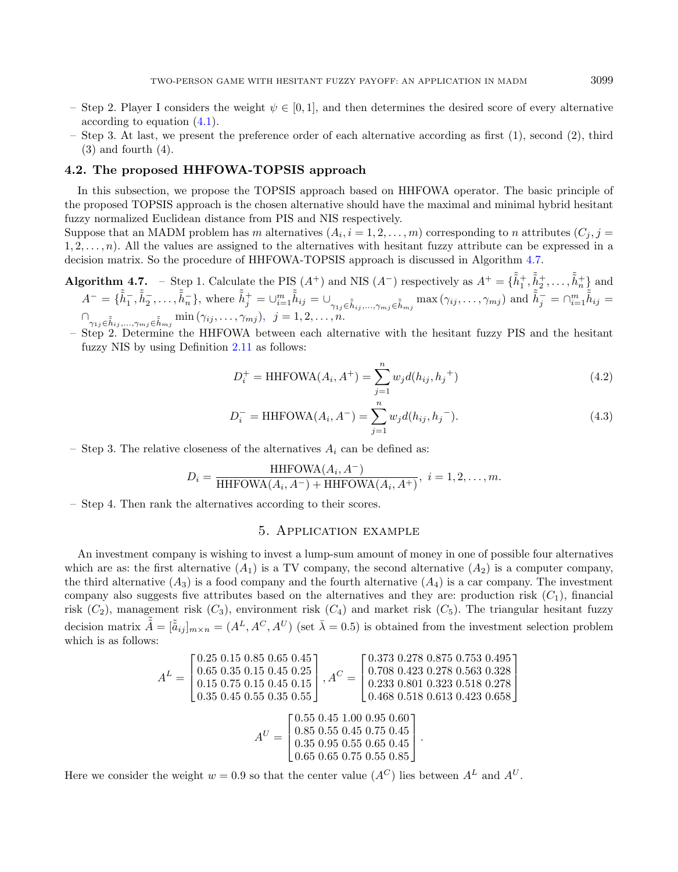- Step 2. Player I considers the weight  $\psi \in [0,1]$ , and then determines the desired score of every alternative according to equation [\(4.1\)](#page-11-2).
- Step 3. At last, we present the preference order of each alternative according as first (1), second (2), third  $(3)$  and fourth  $(4)$ .

# 4.2. The proposed HHFOWA-TOPSIS approach

In this subsection, we propose the TOPSIS approach based on HHFOWA operator. The basic principle of the proposed TOPSIS approach is the chosen alternative should have the maximal and minimal hybrid hesitant fuzzy normalized Euclidean distance from PIS and NIS respectively.

Suppose that an MADM problem has m alternatives  $(A_i, i = 1, 2, \ldots, m)$  corresponding to n attributes  $(C_j, j =$  $1, 2, \ldots, n$ . All the values are assigned to the alternatives with hesitant fuzzy attribute can be expressed in a decision matrix. So the procedure of HHFOWA-TOPSIS approach is discussed in Algorithm [4.7.](#page-12-1)

Algorithm 4.7. – Step 1. Calculate the PIS  $(A^+)$  and NIS  $(A^-)$  respectively as  $A^+ = \{\tilde{h}_1^+, \tilde{h}_2^+, \ldots, \tilde{h}_n^+\}$  and  $A^{-} = \{\tilde{h}_1^-, \tilde{h}_2^-, \ldots, \tilde{h}_n^-\}$ , where  $\tilde{h}_j^+ = \bigcup_{i=1}^m \tilde{h}_{ij} = \bigcup_{\gamma_{1j} \in \tilde{h}_{ij}, \ldots, \gamma_{mj} \in \tilde{h}_{mj}} \max(\gamma_{ij}, \ldots, \gamma_{mj})$  and  $\tilde{h}_j^- = \bigcap_{i=1}^m \tilde{h}_{ij} =$  $\bigcap_{\gamma_{1j}\in\tilde{\tilde{h}}_{ij},\ldots,\gamma_{mj}\in\tilde{\tilde{h}}_{mj}}\min\left(\gamma_{ij},\ldots,\gamma_{mj}\right),\ \ j=1,2,\ldots,n.$ 

– Step 2. Determine the HHFOWA between each alternative with the hesitant fuzzy PIS and the hesitant fuzzy NIS by using Definition [2.11](#page-6-1) as follows:

<span id="page-12-2"></span><span id="page-12-1"></span>
$$
D_i^+ = \text{HHFOWA}(A_i, A^+) = \sum_{j=1}^n w_j d(h_{ij}, h_j^+) \tag{4.2}
$$

$$
D_i^- = \text{HHFOWA}(A_i, A^-) = \sum_{j=1}^n w_j d(h_{ij}, h_j^-). \tag{4.3}
$$

– Step 3. The relative closeness of the alternatives  $A_i$  can be defined as:

$$
D_i = \frac{\text{HHFOWA}(A_i, A^-)}{\text{HHFOWA}(A_i, A^-) + \text{HHFOWA}(A_i, A^+)}, \quad i = 1, 2, \dots, m.
$$

<span id="page-12-0"></span>– Step 4. Then rank the alternatives according to their scores.

# 5. Application example

An investment company is wishing to invest a lump-sum amount of money in one of possible four alternatives which are as: the first alternative  $(A_1)$  is a TV company, the second alternative  $(A_2)$  is a computer company. the third alternative  $(A_3)$  is a food company and the fourth alternative  $(A_4)$  is a car company. The investment company also suggests five attributes based on the alternatives and they are: production risk  $(C_1)$ , financial risk  $(C_2)$ , management risk  $(C_3)$ , environment risk  $(C_4)$  and market risk  $(C_5)$ . The triangular hesitant fuzzy decision matrix  $\tilde{\tilde{A}} = [\tilde{a}_{ij}]_{m \times n} = (A^L, A^C, A^U)$  (set  $\bar{\lambda} = 0.5$ ) is obtained from the investment selection problem which is as follows:

$$
A^{L} = \begin{bmatrix} 0.25 & 0.15 & 0.85 & 0.65 & 0.45 \\ 0.65 & 0.35 & 0.15 & 0.45 & 0.25 \\ 0.15 & 0.75 & 0.15 & 0.45 & 0.15 \\ 0.35 & 0.45 & 0.55 & 0.35 & 0.55 \end{bmatrix}, A^{C} = \begin{bmatrix} 0.373 & 0.278 & 0.875 & 0.753 & 0.495 \\ 0.708 & 0.423 & 0.278 & 0.563 & 0.328 \\ 0.233 & 0.801 & 0.323 & 0.518 & 0.278 \\ 0.468 & 0.518 & 0.613 & 0.423 & 0.658 \end{bmatrix}
$$

$$
A^{U} = \begin{bmatrix} 0.55 & 0.45 & 1.00 & 0.95 & 0.60 \\ 0.85 & 0.55 & 0.45 & 0.75 & 0.45 \\ 0.35 & 0.95 & 0.55 & 0.65 & 0.45 \\ 0.65 & 0.65 & 0.75 & 0.55 & 0.85 \end{bmatrix}.
$$

Here we consider the weight  $w = 0.9$  so that the center value  $(A^C)$  lies between  $A^L$  and  $A^U$ .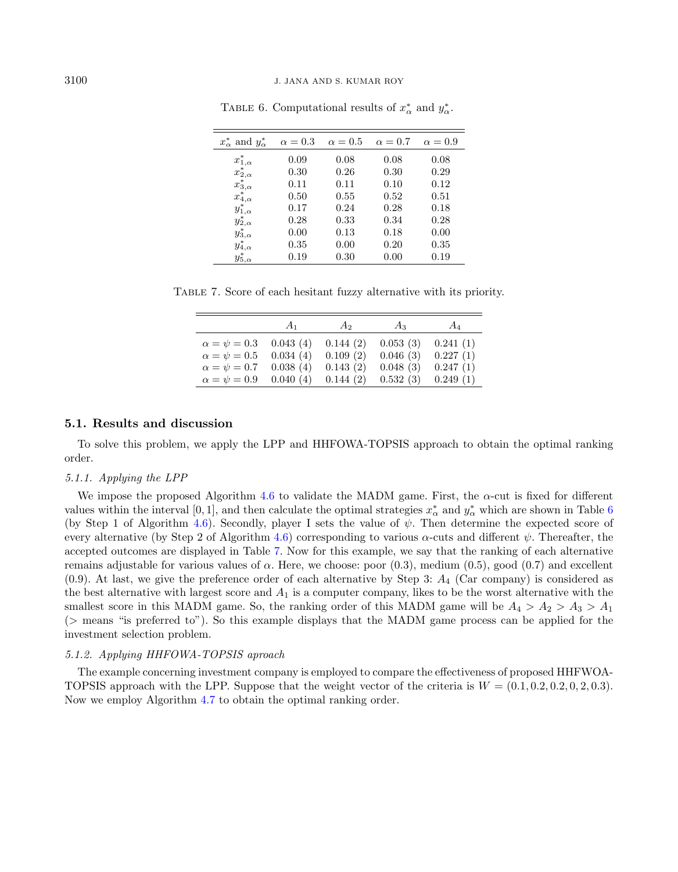<span id="page-13-1"></span>

| $x^*_{\alpha}$ and $y^*_{\alpha}$ | $\alpha = 0.3$ | $\alpha = 0.5$ | $\alpha = 0.7$ | $\alpha = 0.9$ |
|-----------------------------------|----------------|----------------|----------------|----------------|
| $x^*_{1,\alpha}$                  | 0.09           | 0.08           | 0.08           | 0.08           |
| $x^*_{2,\alpha}$                  | 0.30           | 0.26           | 0.30           | 0.29           |
| $x^*_{3,\alpha}$                  | 0.11           | 0.11           | 0.10           | 0.12           |
| $x^*_{4,\alpha}$                  | 0.50           | 0.55           | 0.52           | 0.51           |
| $y^*_{1,\alpha}$                  | 0.17           | 0.24           | 0.28           | 0.18           |
| $y^*_{2,\alpha}$                  | 0.28           | 0.33           | 0.34           | 0.28           |
| $y^*_{3,\alpha}$                  | 0.00           | 0.13           | 0.18           | 0.00           |
| $y^*_{4,\alpha}$                  | 0.35           | 0.00           | 0.20           | 0.35           |
| $y^*_{5,\alpha}$                  | 0.19           | 0.30           | 0.00           | 0.19           |

<span id="page-13-0"></span>TABLE 6. Computational results of  $x^*_{\alpha}$  and  $y^*_{\alpha}$ .

Table 7. Score of each hesitant fuzzy alternative with its priority.

|                       | $A_1$    | $A_2$    | $A_3$    | $A_4$    |
|-----------------------|----------|----------|----------|----------|
| $\alpha = \psi = 0.3$ | 0.043(4) | 0.144(2) | 0.053(3) | 0.241(1) |
| $\alpha = \psi = 0.5$ | 0.034(4) | 0.109(2) | 0.046(3) | 0.227(1) |
| $\alpha = \psi = 0.7$ | 0.038(4) | 0.143(2) | 0.048(3) | 0.247(1) |
| $\alpha = \psi = 0.9$ | 0.040(4) | 0.144(2) | 0.532(3) | 0.249(1) |

# 5.1. Results and discussion

To solve this problem, we apply the LPP and HHFOWA-TOPSIS approach to obtain the optimal ranking order.

#### 5.1.1. Applying the LPP

We impose the proposed Algorithm [4.6](#page-11-0) to validate the MADM game. First, the  $\alpha$ -cut is fixed for different values within the interval [0, 1], and then calculate the optimal strategies  $x^*_{\alpha}$  and  $y^*_{\alpha}$  which are shown in Table [6](#page-13-0) (by Step 1 of Algorithm [4.6\)](#page-11-0). Secondly, player I sets the value of  $\psi$ . Then determine the expected score of every alternative (by Step 2 of Algorithm [4.6\)](#page-11-0) corresponding to various  $\alpha$ -cuts and different  $\psi$ . Thereafter, the accepted outcomes are displayed in Table [7.](#page-13-1) Now for this example, we say that the ranking of each alternative remains adjustable for various values of  $\alpha$ . Here, we choose: poor (0.3), medium (0.5), good (0.7) and excellent  $(0.9)$ . At last, we give the preference order of each alternative by Step 3:  $A_4$  (Car company) is considered as the best alternative with largest score and  $A_1$  is a computer company, likes to be the worst alternative with the smallest score in this MADM game. So, the ranking order of this MADM game will be  $A_4 > A_2 > A_3 > A_1$ (> means "is preferred to"). So this example displays that the MADM game process can be applied for the investment selection problem.

#### 5.1.2. Applying HHFOWA-TOPSIS aproach

The example concerning investment company is employed to compare the effectiveness of proposed HHFWOA-TOPSIS approach with the LPP. Suppose that the weight vector of the criteria is  $W = (0.1, 0.2, 0.2, 0.2, 0.3)$ . Now we employ Algorithm [4.7](#page-12-1) to obtain the optimal ranking order.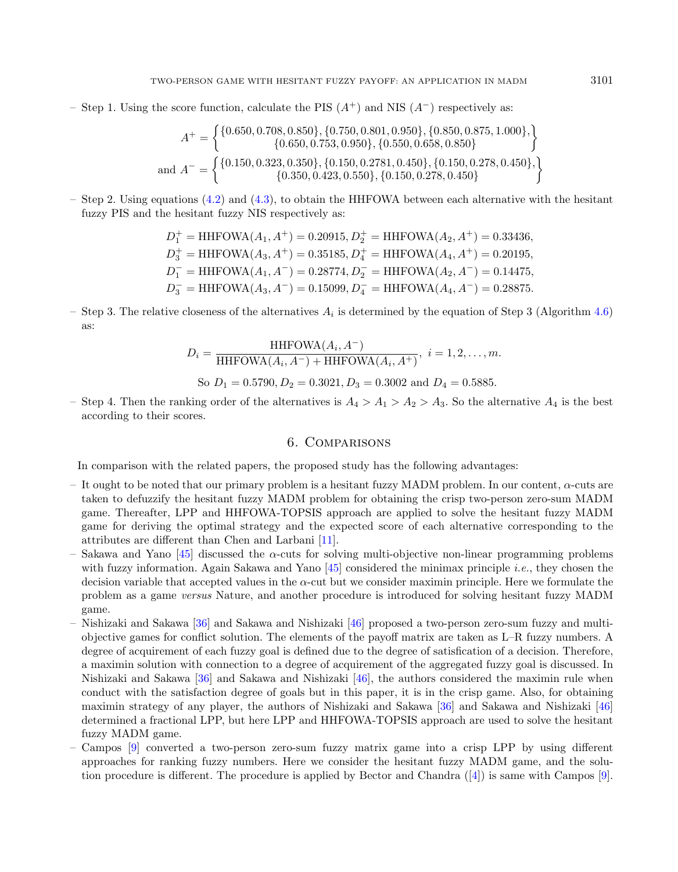– Step 1. Using the score function, calculate the PIS  $(A^+)$  and NIS  $(A^-)$  respectively as:

$$
A^{+} = \left\{ \begin{matrix} \{0.650, 0.708, 0.850\}, \{0.750, 0.801, 0.950\}, \{0.850, 0.875, 1.000\}, \\ \{0.650, 0.753, 0.950\}, \{0.550, 0.658, 0.850\} \end{matrix} \right\}
$$
  
and 
$$
A^{-} = \left\{ \begin{matrix} \{0.150, 0.323, 0.350\}, \{0.150, 0.2781, 0.450\}, \{0.150, 0.278, 0.450\}, \\ \{0.350, 0.423, 0.550\}, \{0.150, 0.278, 0.450\} \end{matrix} \right\}
$$

– Step 2. Using equations [\(4.2\)](#page-12-2) and [\(4.3\)](#page-12-2), to obtain the HHFOWA between each alternative with the hesitant fuzzy PIS and the hesitant fuzzy NIS respectively as:

$$
D_1^+ = \text{HHFOWA}(A_1, A^+) = 0.20915, D_2^+ = \text{HHFOWA}(A_2, A^+) = 0.33436,
$$
  
\n
$$
D_3^+ = \text{HHFOWA}(A_3, A^+) = 0.35185, D_4^+ = \text{HHFOWA}(A_4, A^+) = 0.20195,
$$
  
\n
$$
D_1^- = \text{HHFOWA}(A_1, A^-) = 0.28774, D_2^- = \text{HHFOWA}(A_2, A^-) = 0.14475,
$$
  
\n
$$
D_3^- = \text{HHFOWA}(A_3, A^-) = 0.15099, D_4^- = \text{HHFOWA}(A_4, A^-) = 0.28875.
$$

– Step 3. The relative closeness of the alternatives  $A_i$  is determined by the equation of Step 3 (Algorithm [4.6\)](#page-11-0) as:

$$
D_i = \frac{\text{HHFOWA}(A_i, A^-)}{\text{HHFOWA}(A_i, A^-) + \text{HHFOWA}(A_i, A^+)}, \ i = 1, 2, ..., m.
$$
  
So  $D_1 = 0.5790, D_2 = 0.3021, D_3 = 0.3002$  and  $D_4 = 0.5885$ .

– Step 4. Then the ranking order of the alternatives is  $A_4 > A_1 > A_2 > A_3$ . So the alternative  $A_4$  is the best according to their scores.

# 6. Comparisons

<span id="page-14-0"></span>In comparison with the related papers, the proposed study has the following advantages:

- It ought to be noted that our primary problem is a hesitant fuzzy MADM problem. In our content,  $\alpha$ -cuts are taken to defuzzify the hesitant fuzzy MADM problem for obtaining the crisp two-person zero-sum MADM game. Thereafter, LPP and HHFOWA-TOPSIS approach are applied to solve the hesitant fuzzy MADM game for deriving the optimal strategy and the expected score of each alternative corresponding to the attributes are different than Chen and Larbani [\[11\]](#page-16-7).
- Sakawa and Yano [\[45\]](#page-17-25) discussed the  $\alpha$ -cuts for solving multi-objective non-linear programming problems with fuzzy information. Again Sakawa and Yano [\[45\]](#page-17-25) considered the minimax principle *i.e.*, they chosen the decision variable that accepted values in the  $\alpha$ -cut but we consider maximin principle. Here we formulate the problem as a game versus Nature, and another procedure is introduced for solving hesitant fuzzy MADM game.
- Nishizaki and Sakawa [\[36\]](#page-17-28) and Sakawa and Nishizaki [\[46\]](#page-17-29) proposed a two-person zero-sum fuzzy and multiobjective games for conflict solution. The elements of the payoff matrix are taken as L–R fuzzy numbers. A degree of acquirement of each fuzzy goal is defined due to the degree of satisfication of a decision. Therefore, a maximin solution with connection to a degree of acquirement of the aggregated fuzzy goal is discussed. In Nishizaki and Sakawa [\[36\]](#page-17-28) and Sakawa and Nishizaki [\[46\]](#page-17-29), the authors considered the maximin rule when conduct with the satisfaction degree of goals but in this paper, it is in the crisp game. Also, for obtaining maximin strategy of any player, the authors of Nishizaki and Sakawa [\[36\]](#page-17-28) and Sakawa and Nishizaki [\[46\]](#page-17-29) determined a fractional LPP, but here LPP and HHFOWA-TOPSIS approach are used to solve the hesitant fuzzy MADM game.
- Campos [\[9\]](#page-16-9) converted a two-person zero-sum fuzzy matrix game into a crisp LPP by using different approaches for ranking fuzzy numbers. Here we consider the hesitant fuzzy MADM game, and the solution procedure is different. The procedure is applied by Bector and Chandra  $([4])$  $([4])$  $([4])$  is same with Campos [\[9\]](#page-16-9).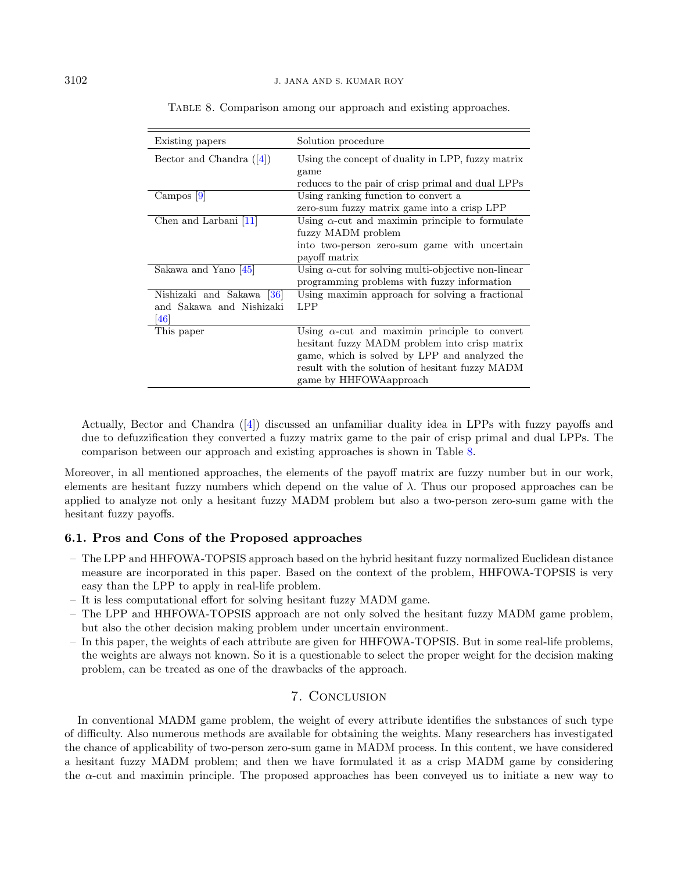| Existing papers                                              | Solution procedure                                                                                                                                                                                                                   |
|--------------------------------------------------------------|--------------------------------------------------------------------------------------------------------------------------------------------------------------------------------------------------------------------------------------|
| Bector and Chandra $([4])$                                   | Using the concept of duality in LPP, fuzzy matrix<br>game<br>reduces to the pair of crisp primal and dual LPPs                                                                                                                       |
| $Campos$ [9]                                                 | Using ranking function to convert a<br>zero-sum fuzzy matrix game into a crisp LPP                                                                                                                                                   |
| Chen and Larbani [11]                                        | Using $\alpha$ -cut and maximin principle to formulate<br>fuzzy MADM problem<br>into two-person zero-sum game with uncertain<br>payoff matrix                                                                                        |
| Sakawa and Yano [45]                                         | Using $\alpha$ -cut for solving multi-objective non-linear<br>programming problems with fuzzy information                                                                                                                            |
| Nishizaki and Sakawa [36]<br>and Sakawa and Nishizaki<br>461 | Using maximin approach for solving a fractional<br>LPP                                                                                                                                                                               |
| This paper                                                   | Using $\alpha$ -cut and maximin principle to convert<br>hesitant fuzzy MADM problem into crisp matrix<br>game, which is solved by LPP and analyzed the<br>result with the solution of hesitant fuzzy MADM<br>game by HHFOWA approach |

<span id="page-15-1"></span>

|  | TABLE 8. Comparison among our approach and existing approaches. |  |  |  |  |  |  |
|--|-----------------------------------------------------------------|--|--|--|--|--|--|
|--|-----------------------------------------------------------------|--|--|--|--|--|--|

Actually, Bector and Chandra ([\[4\]](#page-16-11)) discussed an unfamiliar duality idea in LPPs with fuzzy payoffs and due to defuzzification they converted a fuzzy matrix game to the pair of crisp primal and dual LPPs. The comparison between our approach and existing approaches is shown in Table [8.](#page-15-1)

Moreover, in all mentioned approaches, the elements of the payoff matrix are fuzzy number but in our work, elements are hesitant fuzzy numbers which depend on the value of  $\lambda$ . Thus our proposed approaches can be applied to analyze not only a hesitant fuzzy MADM problem but also a two-person zero-sum game with the hesitant fuzzy payoffs.

# 6.1. Pros and Cons of the Proposed approaches

- The LPP and HHFOWA-TOPSIS approach based on the hybrid hesitant fuzzy normalized Euclidean distance measure are incorporated in this paper. Based on the context of the problem, HHFOWA-TOPSIS is very easy than the LPP to apply in real-life problem.
- It is less computational effort for solving hesitant fuzzy MADM game.
- The LPP and HHFOWA-TOPSIS approach are not only solved the hesitant fuzzy MADM game problem, but also the other decision making problem under uncertain environment.
- In this paper, the weights of each attribute are given for HHFOWA-TOPSIS. But in some real-life problems, the weights are always not known. So it is a questionable to select the proper weight for the decision making problem, can be treated as one of the drawbacks of the approach.

# 7. Conclusion

<span id="page-15-0"></span>In conventional MADM game problem, the weight of every attribute identifies the substances of such type of difficulty. Also numerous methods are available for obtaining the weights. Many researchers has investigated the chance of applicability of two-person zero-sum game in MADM process. In this content, we have considered a hesitant fuzzy MADM problem; and then we have formulated it as a crisp MADM game by considering the  $\alpha$ -cut and maximin principle. The proposed approaches has been conveved us to initiate a new way to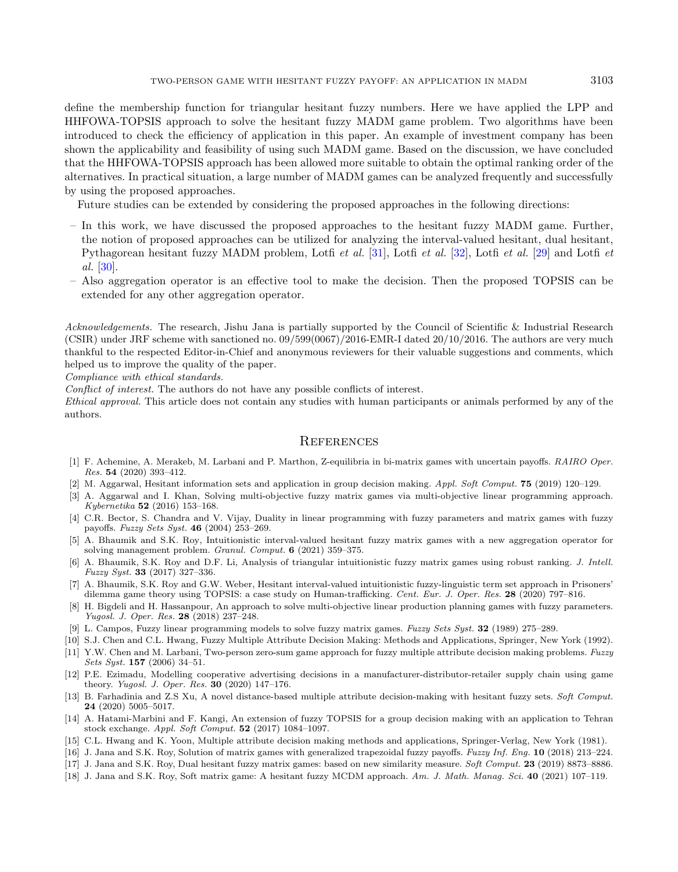define the membership function for triangular hesitant fuzzy numbers. Here we have applied the LPP and HHFOWA-TOPSIS approach to solve the hesitant fuzzy MADM game problem. Two algorithms have been introduced to check the efficiency of application in this paper. An example of investment company has been shown the applicability and feasibility of using such MADM game. Based on the discussion, we have concluded that the HHFOWA-TOPSIS approach has been allowed more suitable to obtain the optimal ranking order of the alternatives. In practical situation, a large number of MADM games can be analyzed frequently and successfully by using the proposed approaches.

Future studies can be extended by considering the proposed approaches in the following directions:

- In this work, we have discussed the proposed approaches to the hesitant fuzzy MADM game. Further, the notion of proposed approaches can be utilized for analyzing the interval-valued hesitant, dual hesitant, Pythagorean hesitant fuzzy MADM problem, Lotfi et al. [\[31\]](#page-17-30), Lotfi et al. [\[32\]](#page-17-31), Lotfi et al. [\[29\]](#page-17-32) and Lotfi et al. [\[30\]](#page-17-33).
- <span id="page-16-17"></span>– Also aggregation operator is an effective tool to make the decision. Then the proposed TOPSIS can be extended for any other aggregation operator.

<span id="page-16-12"></span><span id="page-16-2"></span>Acknowledgements. The research, Jishu Jana is partially supported by the Council of Scientific & Industrial Research (CSIR) under JRF scheme with sanctioned no. 09/599(0067)/2016-EMR-I dated 20/10/2016. The authors are very much thankful to the respected Editor-in-Chief and anonymous reviewers for their valuable suggestions and comments, which helped us to improve the quality of the paper.

<span id="page-16-11"></span><span id="page-16-6"></span>Compliance with ethical standards.

Conflict of interest. The authors do not have any possible conflicts of interest.

<span id="page-16-15"></span><span id="page-16-10"></span>Ethical approval. This article does not contain any studies with human participants or animals performed by any of the authors.

#### **REFERENCES**

- <span id="page-16-13"></span><span id="page-16-9"></span>[1] F. Achemine, A. Merakeb, M. Larbani and P. Marthon, Z-equilibria in bi-matrix games with uncertain payoffs. RAIRO Oper. Res. 54 (2020) 393–412.
- <span id="page-16-7"></span><span id="page-16-4"></span>[2] M. Aggarwal, Hesitant information sets and application in group decision making. Appl. Soft Comput. 75 (2019) 120–129.
- [3] A. Aggarwal and I. Khan, Solving multi-objective fuzzy matrix games via multi-objective linear programming approach. Kybernetika 52 (2016) 153–168.
- <span id="page-16-16"></span>[4] C.R. Bector, S. Chandra and V. Vijay, Duality in linear programming with fuzzy parameters and matrix games with fuzzy payoffs. Fuzzy Sets Syst. 46 (2004) 253–269.
- <span id="page-16-5"></span>[5] A. Bhaumik and S.K. Roy, Intuitionistic interval-valued hesitant fuzzy matrix games with a new aggregation operator for solving management problem. Granul. Comput. 6 (2021) 359–375.
- <span id="page-16-1"></span>[6] A. Bhaumik, S.K. Roy and D.F. Li, Analysis of triangular intuitionistic fuzzy matrix games using robust ranking. J. Intell. Fuzzy Syst. 33 (2017) 327–336.
- <span id="page-16-8"></span><span id="page-16-0"></span>[7] A. Bhaumik, S.K. Roy and G.W. Weber, Hesitant interval-valued intuitionistic fuzzy-linguistic term set approach in Prisoners' dilemma game theory using TOPSIS: a case study on Human-trafficking. Cent. Eur. J. Oper. Res. 28 (2020) 797–816.
- <span id="page-16-14"></span><span id="page-16-3"></span>[8] H. Bigdeli and H. Hassanpour, An approach to solve multi-objective linear production planning games with fuzzy parameters. Yugosl. J. Oper. Res. 28 (2018) 237–248.
- [9] L. Campos, Fuzzy linear programming models to solve fuzzy matrix games. Fuzzy Sets Syst. 32 (1989) 275–289.
- [10] S.J. Chen and C.L. Hwang, Fuzzy Multiple Attribute Decision Making: Methods and Applications, Springer, New York (1992).
- [11] Y.W. Chen and M. Larbani, Two-person zero-sum game approach for fuzzy multiple attribute decision making problems. Fuzzy Sets Syst. 157 (2006) 34–51.
- [12] P.E. Ezimadu, Modelling cooperative advertising decisions in a manufacturer-distributor-retailer supply chain using game theory. Yugosl. J. Oper. Res. 30 (2020) 147–176.
- [13] B. Farhadinia and Z.S Xu, A novel distance-based multiple attribute decision-making with hesitant fuzzy sets. Soft Comput. 24 (2020) 5005–5017.
- [14] A. Hatami-Marbini and F. Kangi, An extension of fuzzy TOPSIS for a group decision making with an application to Tehran stock exchange. Appl. Soft Comput. 52 (2017) 1084–1097.
- [15] C.L. Hwang and K. Yoon, Multiple attribute decision making methods and applications, Springer-Verlag, New York (1981).
- [16] J. Jana and S.K. Roy, Solution of matrix games with generalized trapezoidal fuzzy payoffs. Fuzzy Inf. Eng. 10 (2018) 213-224.
- [17] J. Jana and S.K. Roy, Dual hesitant fuzzy matrix games: based on new similarity measure. Soft Comput. 23 (2019) 8873-8886.
- [18] J. Jana and S.K. Roy, Soft matrix game: A hesitant fuzzy MCDM approach. Am. J. Math. Manag. Sci. 40 (2021) 107-119.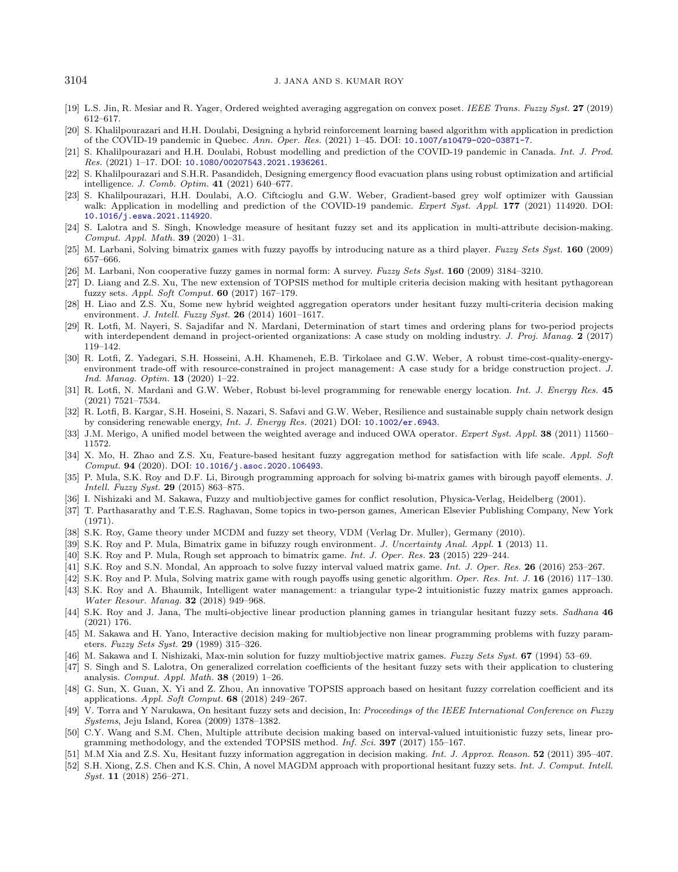#### <span id="page-17-24"></span><span id="page-17-23"></span><span id="page-17-22"></span><span id="page-17-21"></span><span id="page-17-7"></span><span id="page-17-3"></span>3104 J. JANA AND S. KUMAR ROY

- <span id="page-17-18"></span><span id="page-17-2"></span>[19] L.S. Jin, R. Mesiar and R. Yager, Ordered weighted averaging aggregation on convex poset. IEEE Trans. Fuzzy Syst. 27 (2019) 612–617.
- [20] S. Khalilpourazari and H.H. Doulabi, Designing a hybrid reinforcement learning based algorithm with application in prediction of the COVID-19 pandemic in Quebec. Ann. Oper. Res. (2021) 1–45. DOI: [10.1007/s10479-020-03871-7](https://doi.org/10.1007/s10479-020-03871-7).
- <span id="page-17-6"></span>[21] S. Khalilpourazari and H.H. Doulabi, Robust modelling and prediction of the COVID-19 pandemic in Canada. Int. J. Prod. Res. (2021) 1–17. DOI: [10.1080/00207543.2021.1936261](https://doi.org/10.1080/00207543.2021.1936261).
- <span id="page-17-32"></span>[22] S. Khalilpourazari and S.H.R. Pasandideh, Designing emergency flood evacuation plans using robust optimization and artificial intelligence. J. Comb. Optim. 41 (2021) 640–677.
- <span id="page-17-33"></span>[23] S. Khalilpourazari, H.H. Doulabi, A.O. Ciftcioglu and G.W. Weber, Gradient-based grey wolf optimizer with Gaussian walk: Application in modelling and prediction of the COVID-19 pandemic. Expert Syst. Appl. 177 (2021) 114920. DOI: [10.1016/j.eswa.2021.114920](https://doi.org/10.1016/j.eswa.2021.114920).
- <span id="page-17-30"></span>[24] S. Lalotra and S. Singh, Knowledge measure of hesitant fuzzy set and its application in multi-attribute decision-making. Comput. Appl. Math. 39 (2020) 1–31.
- <span id="page-17-31"></span>[25] M. Larbani, Solving bimatrix games with fuzzy payoffs by introducing nature as a third player. Fuzzy Sets Syst. 160 (2009) 657–666.
- <span id="page-17-27"></span>[26] M. Larbani, Non cooperative fuzzy games in normal form: A survey. Fuzzy Sets Syst. 160 (2009) 3184–3210.
- <span id="page-17-9"></span>[27] D. Liang and Z.S. Xu, The new extension of TOPSIS method for multiple criteria decision making with hesitant pythagorean fuzzy sets. Appl. Soft Comput. 60 (2017) 167–179.
- <span id="page-17-10"></span>[28] H. Liao and Z.S. Xu, Some new hybrid weighted aggregation operators under hesitant fuzzy multi-criteria decision making environment. J. Intell. Fuzzy Syst. **26** (2014) 1601-1617.
- <span id="page-17-28"></span>[29] R. Lotfi, M. Nayeri, S. Sajadifar and N. Mardani, Determination of start times and ordering plans for two-period projects with interdependent demand in project-oriented organizations: A case study on molding industry. J. Proj. Manag. 2 (2017) 119–142.
- <span id="page-17-26"></span><span id="page-17-11"></span>[30] R. Lotfi, Z. Yadegari, S.H. Hosseini, A.H. Khameneh, E.B. Tirkolaee and G.W. Weber, A robust time-cost-quality-energyenvironment trade-off with resource-constrained in project management: A case study for a bridge construction project. J. Ind. Manag. Optim. 13 (2020) 1–22.
- <span id="page-17-16"></span><span id="page-17-15"></span>[31] R. Lotfi, N. Mardani and G.W. Weber, Robust bi-level programming for renewable energy location. Int. J. Energy Res. 45 (2021) 7521–7534.
- <span id="page-17-17"></span><span id="page-17-12"></span>[32] R. Lotfi, B. Kargar, S.H. Hoseini, S. Nazari, S. Safavi and G.W. Weber, Resilience and sustainable supply chain network design by considering renewable energy, Int. J. Energy Res. (2021) DOI: [10.1002/er.6943](https://doi.org/10.1002/er.6943).
- <span id="page-17-13"></span>[33] J.M. Merigo, A unified model between the weighted average and induced OWA operator. Expert Syst. Appl. 38 (2011) 11560-11572.
- <span id="page-17-20"></span>[34] X. Mo, H. Zhao and Z.S. Xu, Feature-based hesitant fuzzy aggregation method for satisfaction with life scale. Appl. Soft Comput. 94 (2020). DOI: [10.1016/j.asoc.2020.106493](https://doi.org/10.1016/j.asoc.2020.106493).
- <span id="page-17-25"></span>[35] P. Mula, S.K. Roy and D.F. Li, Birough programming approach for solving bi-matrix games with birough payoff elements. J. Intell. Fuzzy Syst. 29 (2015) 863–875.
- <span id="page-17-29"></span><span id="page-17-19"></span>[36] I. Nishizaki and M. Sakawa, Fuzzy and multiobjective games for conflict resolution, Physica-Verlag, Heidelberg (2001).
- [37] T. Parthasarathy and T.E.S. Raghavan, Some topics in two-person games, American Elsevier Publishing Company, New York (1971).
- <span id="page-17-8"></span>[38] S.K. Roy, Game theory under MCDM and fuzzy set theory, VDM (Verlag Dr. Muller), Germany (2010).
- <span id="page-17-0"></span>[39] S.K. Roy and P. Mula, Bimatrix game in bifuzzy rough environment. J. Uncertainty Anal. Appl. 1 (2013) 11.
- [40] S.K. Roy and P. Mula, Rough set approach to bimatrix game. Int. J. Oper. Res. 23 (2015) 229–244.
- <span id="page-17-1"></span>[41] S.K. Roy and S.N. Mondal, An approach to solve fuzzy interval valued matrix game. Int. J. Oper. Res. 26 (2016) 253–267.
- [42] S.K. Roy and P. Mula, Solving matrix game with rough payoffs using genetic algorithm. Oper. Res. Int. J. 16 (2016) 117–130.
- <span id="page-17-5"></span>[43] S.K. Roy and A. Bhaumik, Intelligent water management: a triangular type-2 intuitionistic fuzzy matrix games approach. Water Resour. Manag. 32 (2018) 949–968.
- <span id="page-17-4"></span>[44] S.K. Roy and J. Jana, The multi-objective linear production planning games in triangular hesitant fuzzy sets. Sadhana 46 (2021) 176.
- [45] M. Sakawa and H. Yano, Interactive decision making for multiobjective non linear programming problems with fuzzy parameters. Fuzzy Sets Syst. 29 (1989) 315–326.
- [46] M. Sakawa and I. Nishizaki, Max-min solution for fuzzy multiobjective matrix games. Fuzzy Sets Syst. 67 (1994) 53–69.
- [47] S. Singh and S. Lalotra, On generalized correlation coefficients of the hesitant fuzzy sets with their application to clustering analysis. Comput. Appl. Math. 38 (2019) 1–26.
- [48] G. Sun, X. Guan, X. Yi and Z. Zhou, An innovative TOPSIS approach based on hesitant fuzzy correlation coefficient and its applications. Appl. Soft Comput.  $68$  (2018) 249–267.
- [49] V. Torra and Y Narukawa, On hesitant fuzzy sets and decision, In: Proceedings of the IEEE International Conference on Fuzzy Systems, Jeju Island, Korea (2009) 1378–1382.
- [50] C.Y. Wang and S.M. Chen, Multiple attribute decision making based on interval-valued intuitionistic fuzzy sets, linear programming methodology, and the extended TOPSIS method. Inf. Sci. 397 (2017) 155–167.
- [51] M.M Xia and Z.S. Xu, Hesitant fuzzy information aggregation in decision making. Int. J. Approx. Reason. 52 (2011) 395–407. [52] S.H. Xiong, Z.S. Chen and K.S. Chin, A novel MAGDM approach with proportional hesitant fuzzy sets. Int. J. Comput. Intell.
- Syst. 11 (2018) 256–271.

<span id="page-17-14"></span>